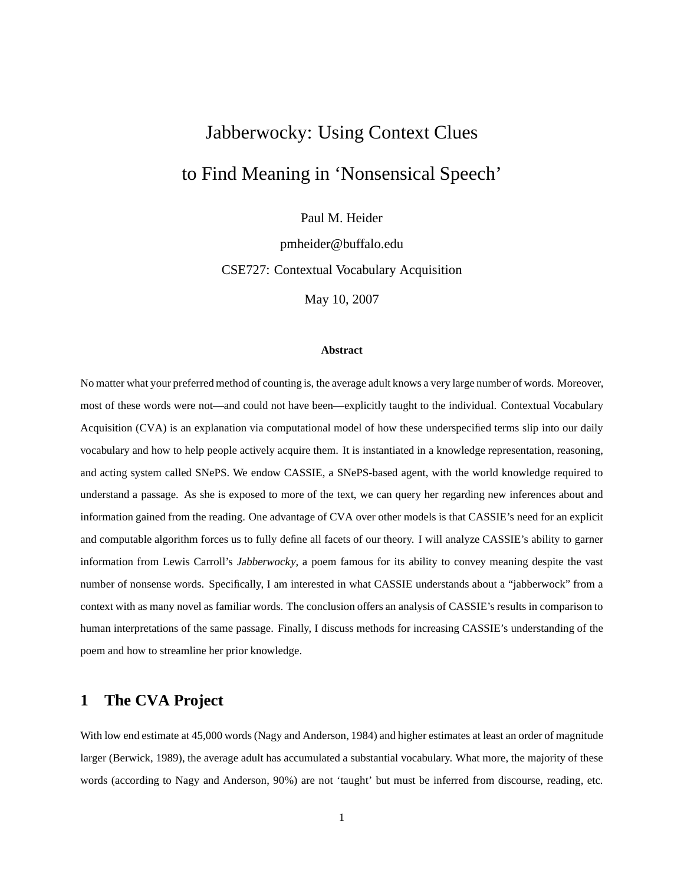# Jabberwocky: Using Context Clues to Find Meaning in 'Nonsensical Speech'

Paul M. Heider

pmheider@buffalo.edu

CSE727: Contextual Vocabulary Acquisition

May 10, 2007

#### **Abstract**

No matter what your preferred method of counting is, the average adult knows a very large number of words. Moreover, most of these words were not—and could not have been—explicitly taught to the individual. Contextual Vocabulary Acquisition (CVA) is an explanation via computational model of how these underspecified terms slip into our daily vocabulary and how to help people actively acquire them. It is instantiated in a knowledge representation, reasoning, and acting system called SNePS. We endow CASSIE, a SNePS-based agent, with the world knowledge required to understand a passage. As she is exposed to more of the text, we can query her regarding new inferences about and information gained from the reading. One advantage of CVA over other models is that CASSIE's need for an explicit and computable algorithm forces us to fully define all facets of our theory. I will analyze CASSIE's ability to garner information from Lewis Carroll's Jabberwocky, a poem famous for its ability to convey meaning despite the vast number of nonsense words. Specifically, I am interested in what CASSIE understands about a "jabberwock" from a context with as many novel as familiar words. The conclusion offers an analysis of CASSIE's results in comparison to human interpretations of the same passage. Finally, I discuss methods for increasing CASSIE's understanding of the poem and how to streamline her prior knowledge.

# **1 The CVA Project**

With low end estimate at 45,000 words (Nagy and Anderson, 1984) and higher estimates at least an order of magnitude larger (Berwick, 1989), the average adult has accumulated a substantial vocabulary. What more, the majority of these words (according to Nagy and Anderson, 90%) are not 'taught' but must be inferred from discourse, reading, etc.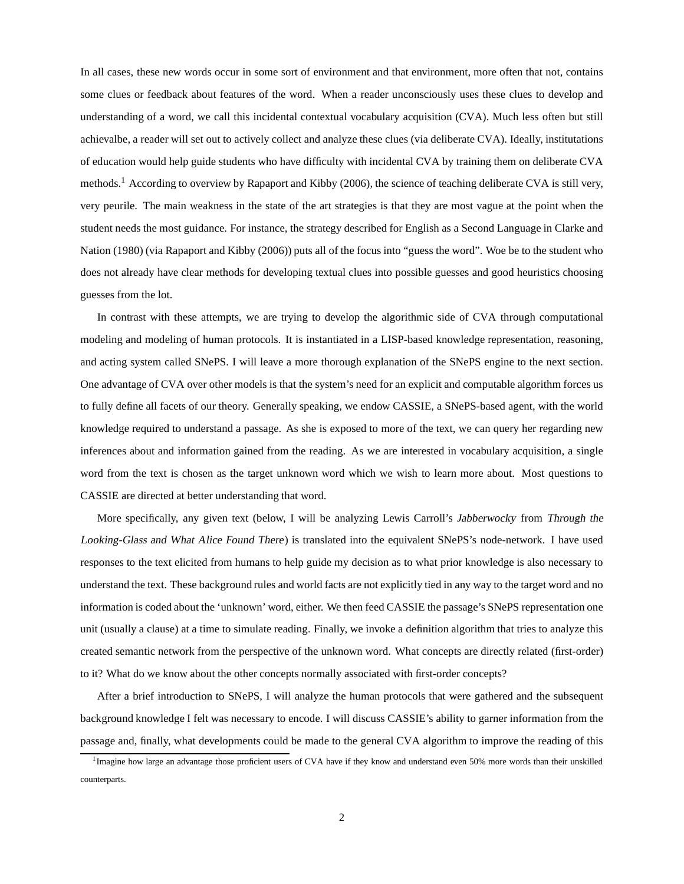In all cases, these new words occur in some sort of environment and that environment, more often that not, contains some clues or feedback about features of the word. When a reader unconsciously uses these clues to develop and understanding of a word, we call this incidental contextual vocabulary acquisition (CVA). Much less often but still achievalbe, a reader will set out to actively collect and analyze these clues (via deliberate CVA). Ideally, institutations of education would help guide students who have difficulty with incidental CVA by training them on deliberate CVA methods.<sup>1</sup> According to overview by Rapaport and Kibby (2006), the science of teaching deliberate CVA is still very, very peurile. The main weakness in the state of the art strategies is that they are most vague at the point when the student needs the most guidance. For instance, the strategy described for English as a Second Language in Clarke and Nation (1980) (via Rapaport and Kibby (2006)) puts all of the focus into "guess the word". Woe be to the student who does not already have clear methods for developing textual clues into possible guesses and good heuristics choosing guesses from the lot.

In contrast with these attempts, we are trying to develop the algorithmic side of CVA through computational modeling and modeling of human protocols. It is instantiated in a LISP-based knowledge representation, reasoning, and acting system called SNePS. I will leave a more thorough explanation of the SNePS engine to the next section. One advantage of CVA over other models is that the system's need for an explicit and computable algorithm forces us to fully define all facets of our theory. Generally speaking, we endow CASSIE, a SNePS-based agent, with the world knowledge required to understand a passage. As she is exposed to more of the text, we can query her regarding new inferences about and information gained from the reading. As we are interested in vocabulary acquisition, a single word from the text is chosen as the target unknown word which we wish to learn more about. Most questions to CASSIE are directed at better understanding that word.

More specifically, any given text (below, I will be analyzing Lewis Carroll's Jabberwocky from Through the Looking-Glass and What Alice Found There) is translated into the equivalent SNePS's node-network. I have used responses to the text elicited from humans to help guide my decision as to what prior knowledge is also necessary to understand the text. These background rules and world facts are not explicitly tied in any way to the target word and no information is coded about the 'unknown' word, either. We then feed CASSIE the passage's SNePS representation one unit (usually a clause) at a time to simulate reading. Finally, we invoke a definition algorithm that tries to analyze this created semantic network from the perspective of the unknown word. What concepts are directly related (first-order) to it? What do we know about the other concepts normally associated with first-order concepts?

After a brief introduction to SNePS, I will analyze the human protocols that were gathered and the subsequent background knowledge I felt was necessary to encode. I will discuss CASSIE's ability to garner information from the passage and, finally, what developments could be made to the general CVA algorithm to improve the reading of this

<sup>&</sup>lt;sup>1</sup> Imagine how large an advantage those proficient users of CVA have if they know and understand even 50% more words than their unskilled counterparts.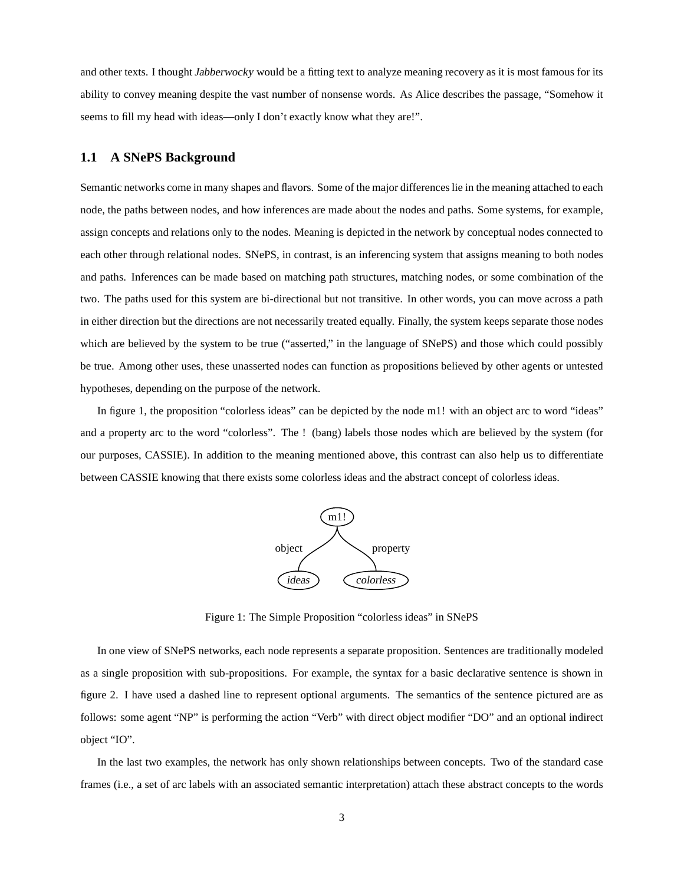and other texts. I thought Jabberwocky would be a fitting text to analyze meaning recovery as it is most famous for its ability to convey meaning despite the vast number of nonsense words. As Alice describes the passage, "Somehow it seems to fill my head with ideas—only I don't exactly know what they are!".

## **1.1 A SNePS Background**

Semantic networks come in many shapes and flavors. Some of the major differences lie in the meaning attached to each node, the paths between nodes, and how inferences are made about the nodes and paths. Some systems, for example, assign concepts and relations only to the nodes. Meaning is depicted in the network by conceptual nodes connected to each other through relational nodes. SNePS, in contrast, is an inferencing system that assigns meaning to both nodes and paths. Inferences can be made based on matching path structures, matching nodes, or some combination of the two. The paths used for this system are bi-directional but not transitive. In other words, you can move across a path in either direction but the directions are not necessarily treated equally. Finally, the system keeps separate those nodes which are believed by the system to be true ("asserted," in the language of SNePS) and those which could possibly be true. Among other uses, these unasserted nodes can function as propositions believed by other agents or untested hypotheses, depending on the purpose of the network.

In figure 1, the proposition "colorless ideas" can be depicted by the node m1! with an object arc to word "ideas" and a property arc to the word "colorless". The ! (bang) labels those nodes which are believed by the system (for our purposes, CASSIE). In addition to the meaning mentioned above, this contrast can also help us to differentiate between CASSIE knowing that there exists some colorless ideas and the abstract concept of colorless ideas.



Figure 1: The Simple Proposition "colorless ideas" in SNePS

In one view of SNePS networks, each node represents a separate proposition. Sentences are traditionally modeled as a single proposition with sub-propositions. For example, the syntax for a basic declarative sentence is shown in figure 2. I have used a dashed line to represent optional arguments. The semantics of the sentence pictured are as follows: some agent "NP" is performing the action "Verb" with direct object modifier "DO" and an optional indirect object "IO".

In the last two examples, the network has only shown relationships between concepts. Two of the standard case frames (i.e., a set of arc labels with an associated semantic interpretation) attach these abstract concepts to the words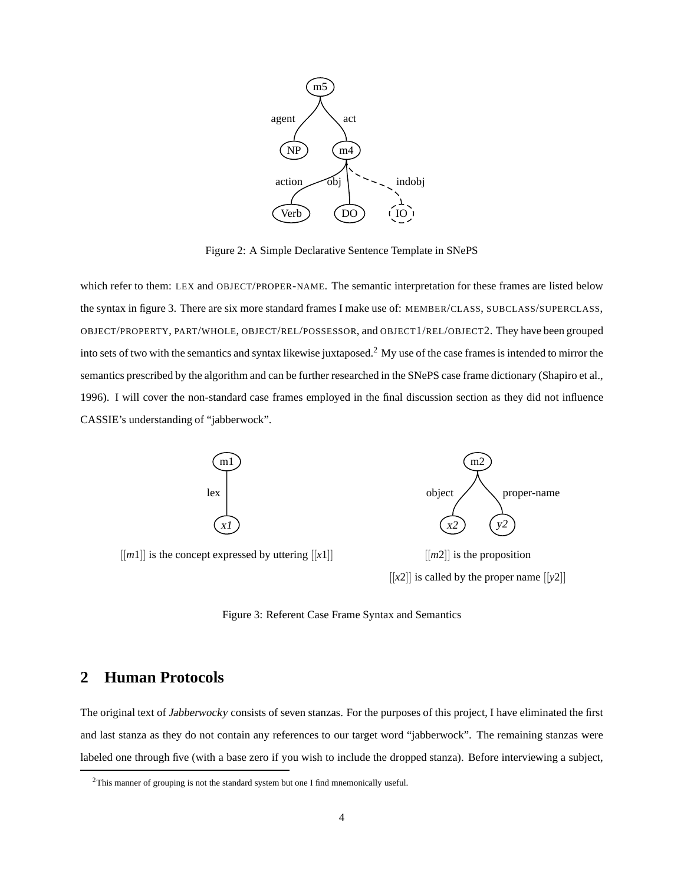

Figure 2: A Simple Declarative Sentence Template in SNePS

which refer to them: LEX and OBJECT/PROPER-NAME. The semantic interpretation for these frames are listed below the syntax in figure 3. There are six more standard frames I make use of: MEMBER/CLASS, SUBCLASS/SUPERCLASS, OBJECT/PROPERTY, PART/WHOLE, OBJECT/REL/POSSESSOR, and OBJECT1/REL/OBJECT2. They have been grouped into sets of two with the semantics and syntax likewise juxtaposed.<sup>2</sup> My use of the case frames is intended to mirror the semantics prescribed by the algorithm and can be further researched in the SNePS case frame dictionary (Shapiro et al., 1996). I will cover the non-standard case frames employed in the final discussion section as they did not influence CASSIE's understanding of "jabberwock".



 $[[m1]]$  is the concept expressed by uttering  $[[x1]]$   $[[m2]]$  is the proposition

 $[[x2]]$  is called by the proper name  $[[y2]]$ 

Figure 3: Referent Case Frame Syntax and Semantics

# **2 Human Protocols**

The original text of Jabberwocky consists of seven stanzas. For the purposes of this project, I have eliminated the first and last stanza as they do not contain any references to our target word "jabberwock". The remaining stanzas were labeled one through five (with a base zero if you wish to include the dropped stanza). Before interviewing a subject,

<sup>2</sup>This manner of grouping is not the standard system but one I find mnemonically useful.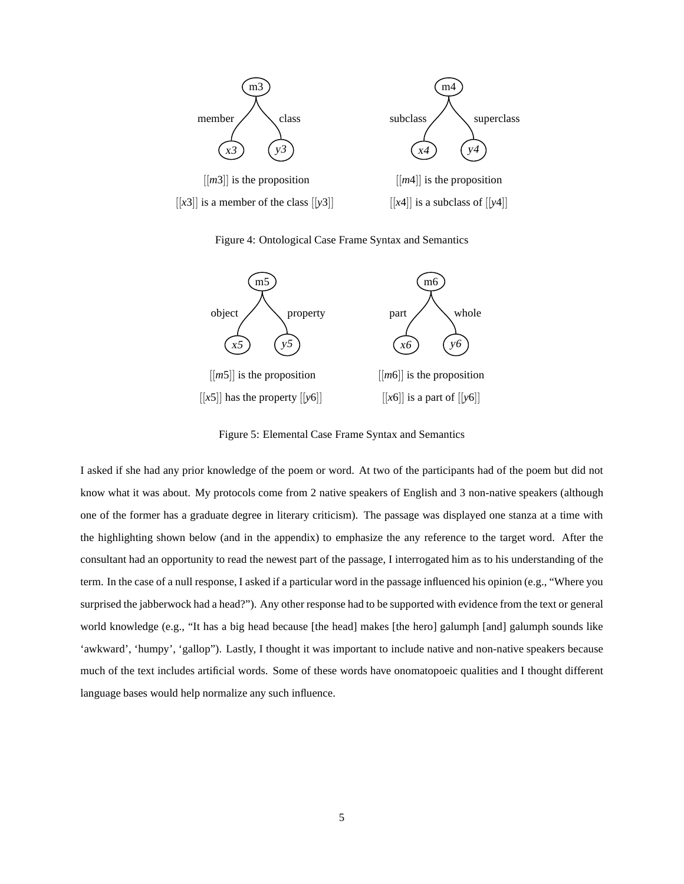

Figure 4: Ontological Case Frame Syntax and Semantics



Figure 5: Elemental Case Frame Syntax and Semantics

I asked if she had any prior knowledge of the poem or word. At two of the participants had of the poem but did not know what it was about. My protocols come from 2 native speakers of English and 3 non-native speakers (although one of the former has a graduate degree in literary criticism). The passage was displayed one stanza at a time with the highlighting shown below (and in the appendix) to emphasize the any reference to the target word. After the consultant had an opportunity to read the newest part of the passage, I interrogated him as to his understanding of the term. In the case of a null response, I asked if a particular word in the passage influenced his opinion (e.g., "Where you surprised the jabberwock had a head?"). Any other response had to be supported with evidence from the text or general world knowledge (e.g., "It has a big head because [the head] makes [the hero] galumph [and] galumph sounds like 'awkward', 'humpy', 'gallop"). Lastly, I thought it was important to include native and non-native speakers because much of the text includes artificial words. Some of these words have onomatopoeic qualities and I thought different language bases would help normalize any such influence.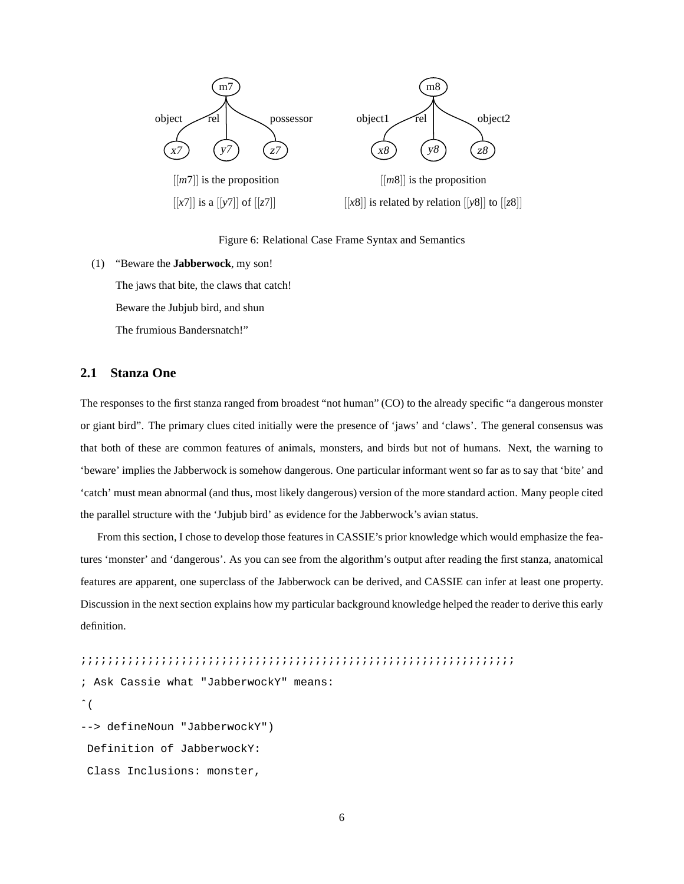

#### Figure 6: Relational Case Frame Syntax and Semantics

#### (1) "Beware the **Jabberwock**, my son!

The jaws that bite, the claws that catch! Beware the Jubjub bird, and shun The frumious Bandersnatch!"

#### **2.1 Stanza One**

The responses to the first stanza ranged from broadest "not human" (CO) to the already specific "a dangerous monster or giant bird". The primary clues cited initially were the presence of 'jaws' and 'claws'. The general consensus was that both of these are common features of animals, monsters, and birds but not of humans. Next, the warning to 'beware' implies the Jabberwock is somehow dangerous. One particular informant went so far as to say that 'bite' and 'catch' must mean abnormal (and thus, most likely dangerous) version of the more standard action. Many people cited the parallel structure with the 'Jubjub bird' as evidence for the Jabberwock's avian status.

From this section, I chose to develop those features in CASSIE's prior knowledge which would emphasize the features 'monster' and 'dangerous'. As you can see from the algorithm's output after reading the first stanza, anatomical features are apparent, one superclass of the Jabberwock can be derived, and CASSIE can infer at least one property. Discussion in the next section explains how my particular background knowledge helped the reader to derive this early definition.

```
;;;;;;;;;;;;;;;;;;;;;;;;;;;;;;;;;;;;;;;;;;;;;;;;;;;;;;;;;;;;;;;;;
; Ask Cassie what "JabberwockY" means:
ˆ(
--> defineNoun "JabberwockY")
Definition of JabberwockY:
Class Inclusions: monster,
```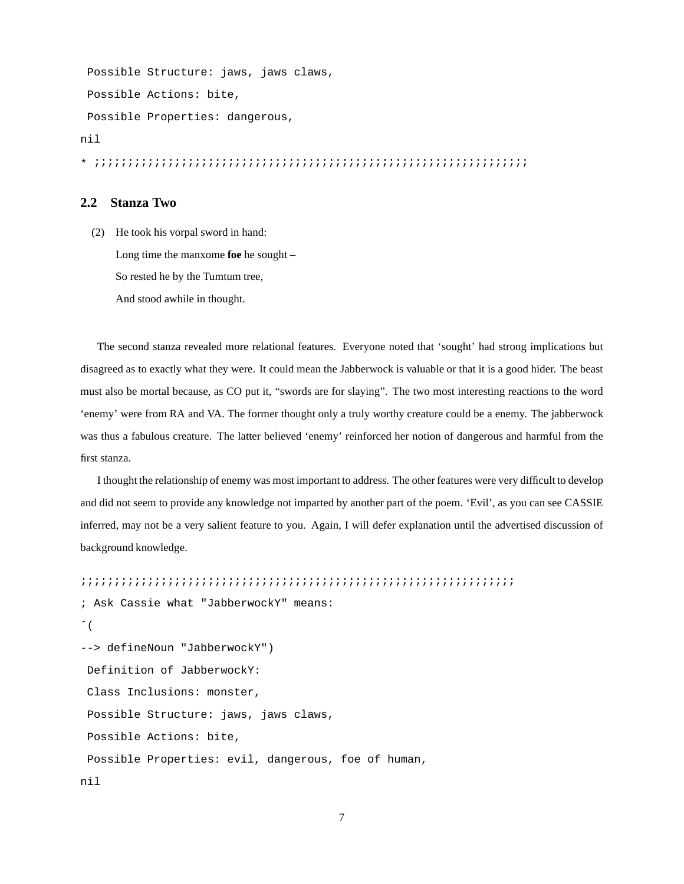```
Possible Structure: jaws, jaws claws,
 Possible Actions: bite,
 Possible Properties: dangerous,
nil
* ;;;;;;;;;;;;;;;;;;;;;;;;;;;;;;;;;;;;;;;;;;;;;;;;;;;;;;;;;;;;;;;;;
```
## **2.2 Stanza Two**

(2) He took his vorpal sword in hand: Long time the manxome **foe** he sought – So rested he by the Tumtum tree, And stood awhile in thought.

The second stanza revealed more relational features. Everyone noted that 'sought' had strong implications but disagreed as to exactly what they were. It could mean the Jabberwock is valuable or that it is a good hider. The beast must also be mortal because, as CO put it, "swords are for slaying". The two most interesting reactions to the word 'enemy' were from RA and VA. The former thought only a truly worthy creature could be a enemy. The jabberwock was thus a fabulous creature. The latter believed 'enemy' reinforced her notion of dangerous and harmful from the first stanza.

I thought the relationship of enemy was most important to address. The other features were very difficult to develop and did not seem to provide any knowledge not imparted by another part of the poem. 'Evil', as you can see CASSIE inferred, may not be a very salient feature to you. Again, I will defer explanation until the advertised discussion of background knowledge.

```
;;;;;;;;;;;;;;;;;;;;;;;;;;;;;;;;;;;;;;;;;;;;;;;;;;;;;;;;;;;;;;;;;
; Ask Cassie what "JabberwockY" means:
\hat{\ } (
--> defineNoun "JabberwockY")
Definition of JabberwockY:
 Class Inclusions: monster,
 Possible Structure: jaws, jaws claws,
 Possible Actions: bite,
 Possible Properties: evil, dangerous, foe of human,
nil
```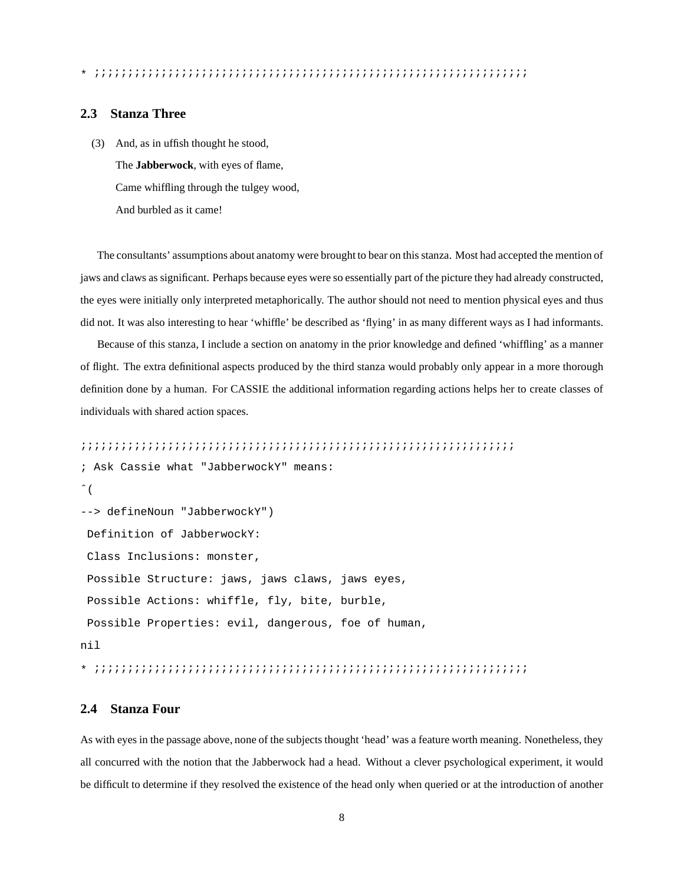## **2.3 Stanza Three**

```
(3) And, as in uffish thought he stood,
     The Jabberwock, with eyes of flame,
     Came whiffling through the tulgey wood,
     And burbled as it came!
```
The consultants' assumptions about anatomy were brought to bear on this stanza. Most had accepted the mention of jaws and claws as significant. Perhaps because eyes were so essentially part of the picture they had already constructed, the eyes were initially only interpreted metaphorically. The author should not need to mention physical eyes and thus did not. It was also interesting to hear 'whiffle' be described as 'flying' in as many different ways as I had informants.

Because of this stanza, I include a section on anatomy in the prior knowledge and defined 'whiffling' as a manner of flight. The extra definitional aspects produced by the third stanza would probably only appear in a more thorough definition done by a human. For CASSIE the additional information regarding actions helps her to create classes of individuals with shared action spaces.

```
;;;;;;;;;;;;;;;;;;;;;;;;;;;;;;;;;;;;;;;;;;;;;;;;;;;;;;;;;;;;;;;;;
; Ask Cassie what "JabberwockY" means:
\hat{\ } (
--> defineNoun "JabberwockY")
 Definition of JabberwockY:
 Class Inclusions: monster,
 Possible Structure: jaws, jaws claws, jaws eyes,
 Possible Actions: whiffle, fly, bite, burble,
 Possible Properties: evil, dangerous, foe of human,
nil
* ;;;;;;;;;;;;;;;;;;;;;;;;;;;;;;;;;;;;;;;;;;;;;;;;;;;;;;;;;;;;;;;;;
```
## **2.4 Stanza Four**

As with eyes in the passage above, none of the subjects thought 'head' was a feature worth meaning. Nonetheless, they all concurred with the notion that the Jabberwock had a head. Without a clever psychological experiment, it would be difficult to determine if they resolved the existence of the head only when queried or at the introduction of another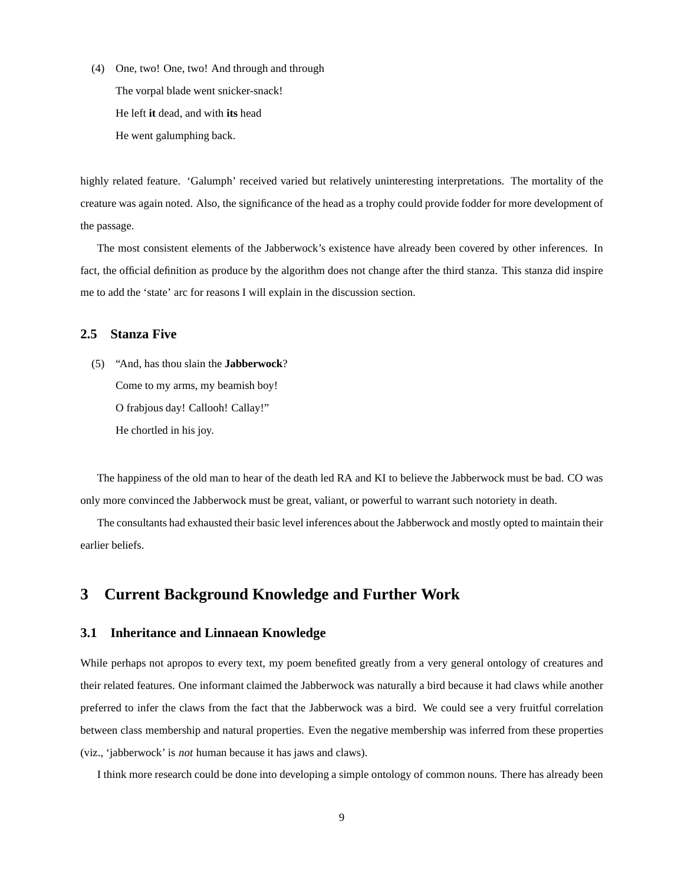(4) One, two! One, two! And through and through The vorpal blade went snicker-snack! He left **it** dead, and with **its** head He went galumphing back.

highly related feature. 'Galumph' received varied but relatively uninteresting interpretations. The mortality of the creature was again noted. Also, the significance of the head as a trophy could provide fodder for more development of the passage.

The most consistent elements of the Jabberwock's existence have already been covered by other inferences. In fact, the official definition as produce by the algorithm does not change after the third stanza. This stanza did inspire me to add the 'state' arc for reasons I will explain in the discussion section.

## **2.5 Stanza Five**

(5) "And, has thou slain the **Jabberwock**? Come to my arms, my beamish boy! O frabjous day! Callooh! Callay!" He chortled in his joy.

The happiness of the old man to hear of the death led RA and KI to believe the Jabberwock must be bad. CO was only more convinced the Jabberwock must be great, valiant, or powerful to warrant such notoriety in death.

The consultants had exhausted their basic level inferences about the Jabberwock and mostly opted to maintain their earlier beliefs.

## **3 Current Background Knowledge and Further Work**

## **3.1 Inheritance and Linnaean Knowledge**

While perhaps not apropos to every text, my poem benefited greatly from a very general ontology of creatures and their related features. One informant claimed the Jabberwock was naturally a bird because it had claws while another preferred to infer the claws from the fact that the Jabberwock was a bird. We could see a very fruitful correlation between class membership and natural properties. Even the negative membership was inferred from these properties (viz., 'jabberwock' is not human because it has jaws and claws).

I think more research could be done into developing a simple ontology of common nouns. There has already been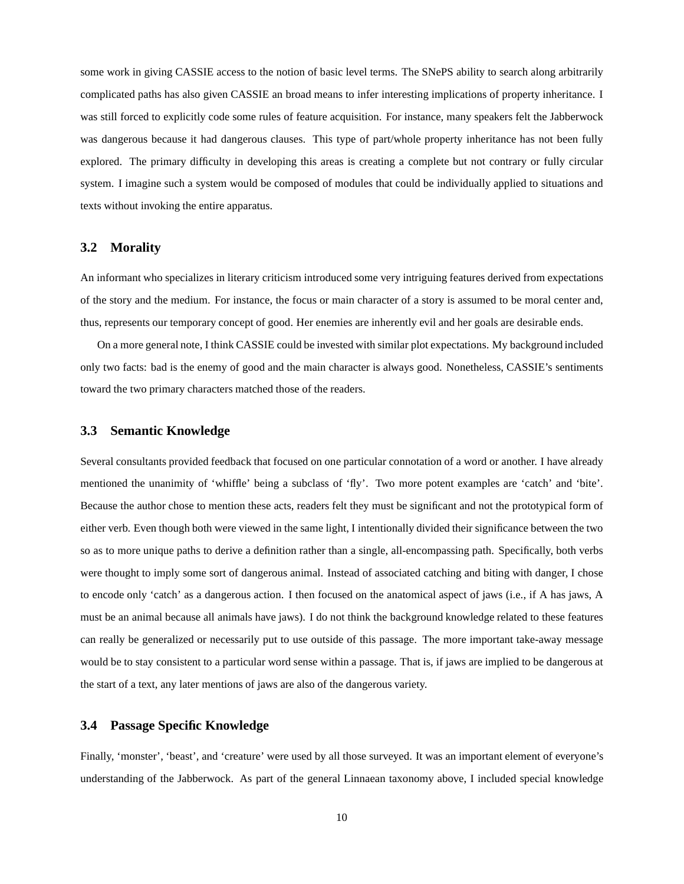some work in giving CASSIE access to the notion of basic level terms. The SNePS ability to search along arbitrarily complicated paths has also given CASSIE an broad means to infer interesting implications of property inheritance. I was still forced to explicitly code some rules of feature acquisition. For instance, many speakers felt the Jabberwock was dangerous because it had dangerous clauses. This type of part/whole property inheritance has not been fully explored. The primary difficulty in developing this areas is creating a complete but not contrary or fully circular system. I imagine such a system would be composed of modules that could be individually applied to situations and texts without invoking the entire apparatus.

#### **3.2 Morality**

An informant who specializes in literary criticism introduced some very intriguing features derived from expectations of the story and the medium. For instance, the focus or main character of a story is assumed to be moral center and, thus, represents our temporary concept of good. Her enemies are inherently evil and her goals are desirable ends.

On a more general note, I think CASSIE could be invested with similar plot expectations. My background included only two facts: bad is the enemy of good and the main character is always good. Nonetheless, CASSIE's sentiments toward the two primary characters matched those of the readers.

#### **3.3 Semantic Knowledge**

Several consultants provided feedback that focused on one particular connotation of a word or another. I have already mentioned the unanimity of 'whiffle' being a subclass of 'fly'. Two more potent examples are 'catch' and 'bite'. Because the author chose to mention these acts, readers felt they must be significant and not the prototypical form of either verb. Even though both were viewed in the same light, I intentionally divided their significance between the two so as to more unique paths to derive a definition rather than a single, all-encompassing path. Specifically, both verbs were thought to imply some sort of dangerous animal. Instead of associated catching and biting with danger, I chose to encode only 'catch' as a dangerous action. I then focused on the anatomical aspect of jaws (i.e., if A has jaws, A must be an animal because all animals have jaws). I do not think the background knowledge related to these features can really be generalized or necessarily put to use outside of this passage. The more important take-away message would be to stay consistent to a particular word sense within a passage. That is, if jaws are implied to be dangerous at the start of a text, any later mentions of jaws are also of the dangerous variety.

## **3.4 Passage Specific Knowledge**

Finally, 'monster', 'beast', and 'creature' were used by all those surveyed. It was an important element of everyone's understanding of the Jabberwock. As part of the general Linnaean taxonomy above, I included special knowledge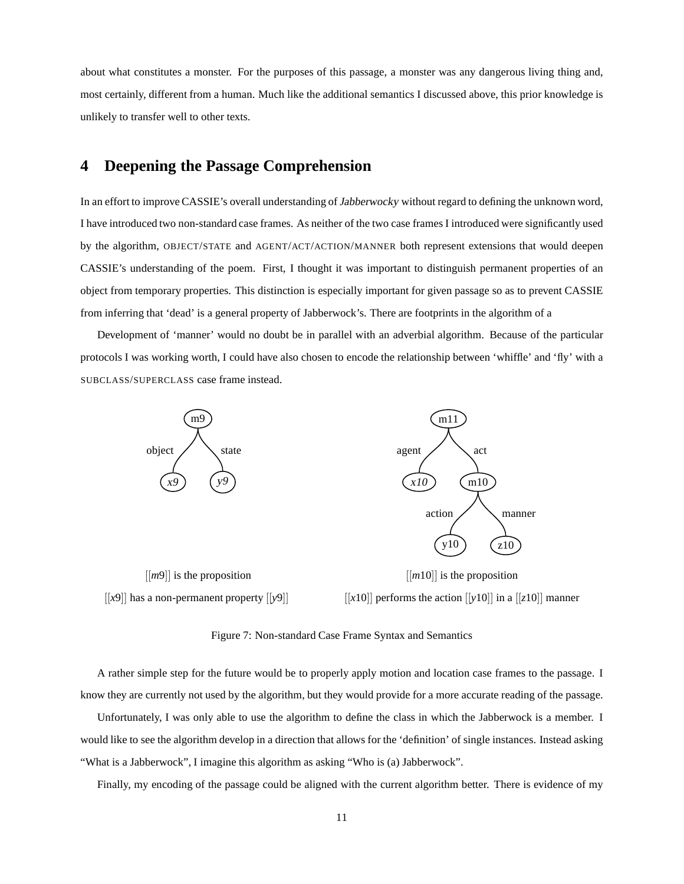about what constitutes a monster. For the purposes of this passage, a monster was any dangerous living thing and, most certainly, different from a human. Much like the additional semantics I discussed above, this prior knowledge is unlikely to transfer well to other texts.

# **4 Deepening the Passage Comprehension**

In an effort to improve CASSIE's overall understanding of Jabberwocky without regard to defining the unknown word, I have introduced two non-standard case frames. As neither of the two case frames I introduced were significantly used by the algorithm, OBJECT/STATE and AGENT/ACT/ACTION/MANNER both represent extensions that would deepen CASSIE's understanding of the poem. First, I thought it was important to distinguish permanent properties of an object from temporary properties. This distinction is especially important for given passage so as to prevent CASSIE from inferring that 'dead' is a general property of Jabberwock's. There are footprints in the algorithm of a

Development of 'manner' would no doubt be in parallel with an adverbial algorithm. Because of the particular protocols I was working worth, I could have also chosen to encode the relationship between 'whiffle' and 'fly' with a SUBCLASS/SUPERCLASS case frame instead.



Figure 7: Non-standard Case Frame Syntax and Semantics

A rather simple step for the future would be to properly apply motion and location case frames to the passage. I know they are currently not used by the algorithm, but they would provide for a more accurate reading of the passage.

Unfortunately, I was only able to use the algorithm to define the class in which the Jabberwock is a member. I would like to see the algorithm develop in a direction that allows for the 'definition' of single instances. Instead asking "What is a Jabberwock", I imagine this algorithm as asking "Who is (a) Jabberwock".

Finally, my encoding of the passage could be aligned with the current algorithm better. There is evidence of my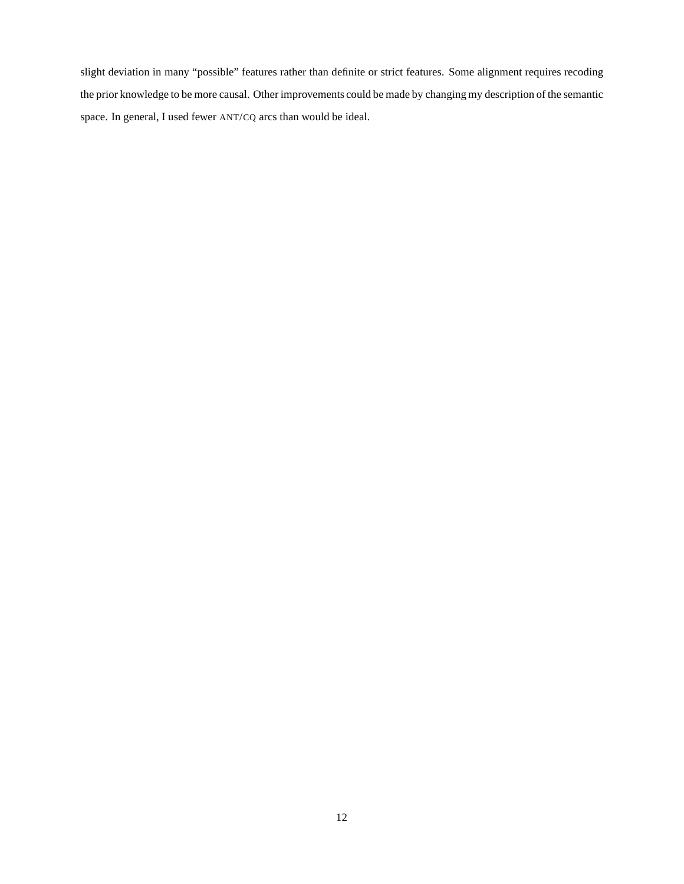slight deviation in many "possible" features rather than definite or strict features. Some alignment requires recoding the prior knowledge to be more causal. Other improvements could be made by changing my description of the semantic space. In general, I used fewer ANT/CQ arcs than would be ideal.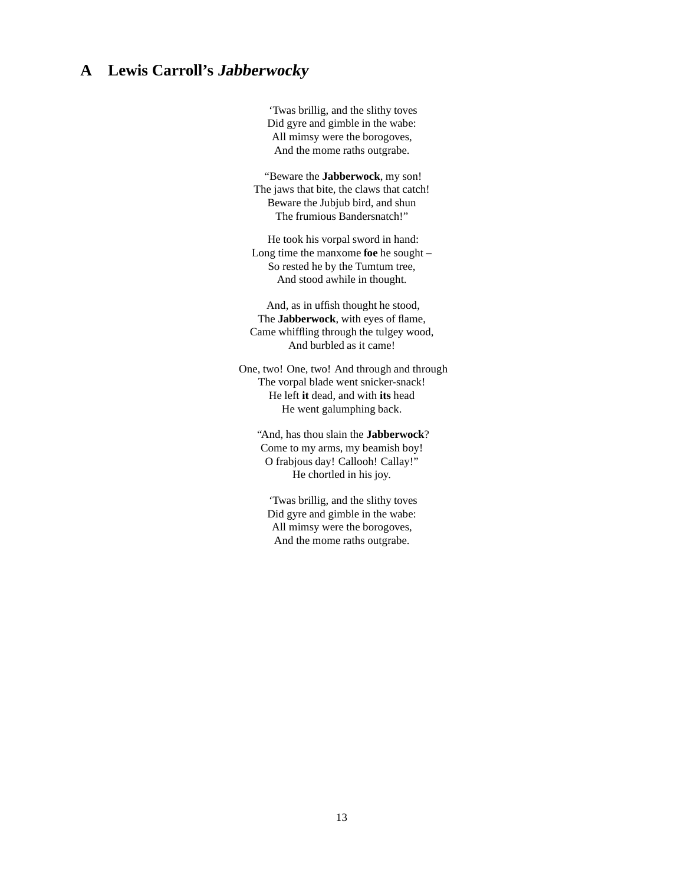# **A Lewis Carroll's Jabberwocky**

'Twas brillig, and the slithy toves Did gyre and gimble in the wabe: All mimsy were the borogoves, And the mome raths outgrabe.

"Beware the **Jabberwock**, my son! The jaws that bite, the claws that catch! Beware the Jubjub bird, and shun The frumious Bandersnatch!"

He took his vorpal sword in hand: Long time the manxome **foe** he sought – So rested he by the Tumtum tree, And stood awhile in thought.

And, as in uffish thought he stood, The **Jabberwock**, with eyes of flame, Came whiffling through the tulgey wood, And burbled as it came!

One, two! One, two! And through and through The vorpal blade went snicker-snack! He left **it** dead, and with **its** head He went galumphing back.

"And, has thou slain the **Jabberwock**? Come to my arms, my beamish boy! O frabjous day! Callooh! Callay!" He chortled in his joy.

'Twas brillig, and the slithy toves Did gyre and gimble in the wabe: All mimsy were the borogoves, And the mome raths outgrabe.

13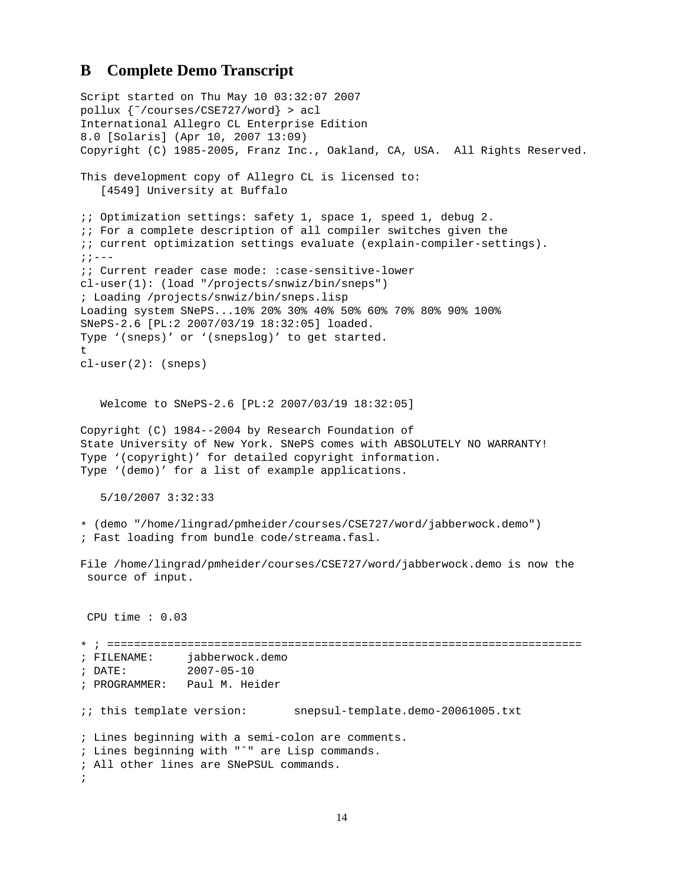## **B Complete Demo Transcript**

```
Script started on Thu May 10 03:32:07 2007
pollux {˜/courses/CSE727/word} > acl
International Allegro CL Enterprise Edition
8.0 [Solaris] (Apr 10, 2007 13:09)
Copyright (C) 1985-2005, Franz Inc., Oakland, CA, USA. All Rights Reserved.
This development copy of Allegro CL is licensed to:
   [4549] University at Buffalo
;; Optimization settings: safety 1, space 1, speed 1, debug 2.
;; For a complete description of all compiler switches given the
;; current optimization settings evaluate (explain-compiler-settings).
; \; ; \; --;; Current reader case mode: :case-sensitive-lower
cl-user(1): (load "/projects/snwiz/bin/sneps")
; Loading /projects/snwiz/bin/sneps.lisp
Loading system SNePS...10% 20% 30% 40% 50% 60% 70% 80% 90% 100%
SNePS-2.6 [PL:2 2007/03/19 18:32:05] loaded.
Type '(sneps)' or '(snepslog)' to get started.
t
cl-user(2): (sneps)
   Welcome to SNePS-2.6 [PL:2 2007/03/19 18:32:05]
Copyright (C) 1984--2004 by Research Foundation of
State University of New York. SNePS comes with ABSOLUTELY NO WARRANTY!
Type '(copyright)' for detailed copyright information.
Type '(demo)' for a list of example applications.
   5/10/2007 3:32:33
* (demo "/home/lingrad/pmheider/courses/CSE727/word/jabberwock.demo")
; Fast loading from bundle code/streama.fasl.
File /home/lingrad/pmheider/courses/CSE727/word/jabberwock.demo is now the
 source of input.
CPU time : 0.03
* ; =======================================================================
               jabberwock.demo
; DATE: 2007-05-10
; PROGRAMMER: Paul M. Heider
;; this template version: snepsul-template.demo-20061005.txt
; Lines beginning with a semi-colon are comments.
; Lines beginning with "ˆ" are Lisp commands.
; All other lines are SNePSUL commands.
;
```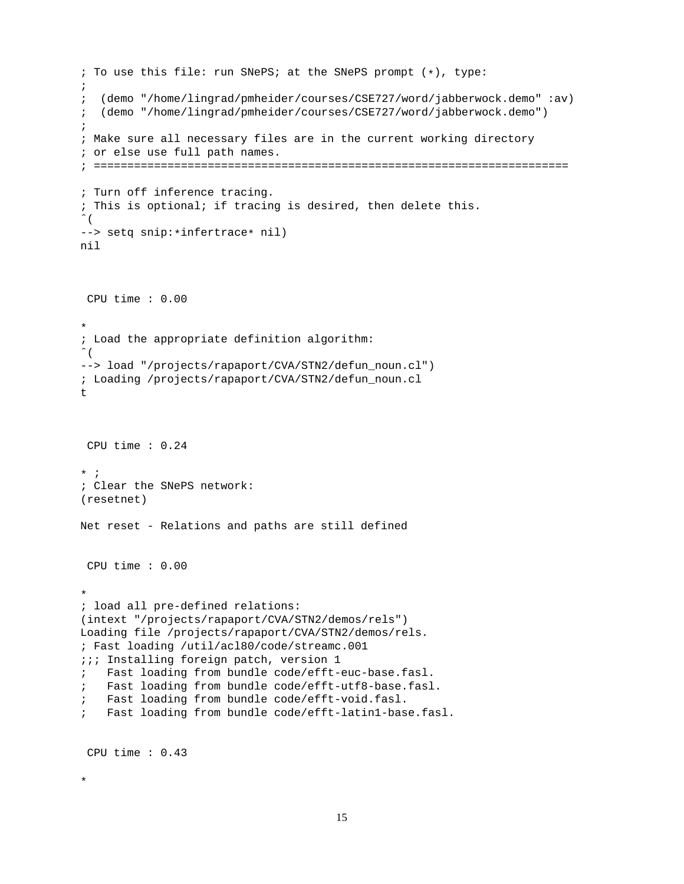```
; To use this file: run SNePS; at the SNePS prompt (*), type:
;
; (demo "/home/lingrad/pmheider/courses/CSE727/word/jabberwock.demo" :av)
; (demo "/home/lingrad/pmheider/courses/CSE727/word/jabberwock.demo")
;
; Make sure all necessary files are in the current working directory
; or else use full path names.
; =======================================================================
; Turn off inference tracing.
; This is optional; if tracing is desired, then delete this.
\hat{\ } (
--> setq snip:*infertrace* nil)
nil
CPU time : 0.00
*
; Load the appropriate definition algorithm:
\hat{\ } (
--> load "/projects/rapaport/CVA/STN2/defun_noun.cl")
; Loading /projects/rapaport/CVA/STN2/defun_noun.cl
t
CPU time : 0.24
* ;
; Clear the SNePS network:
(resetnet)
Net reset - Relations and paths are still defined
CPU time : 0.00
*
; load all pre-defined relations:
(intext "/projects/rapaport/CVA/STN2/demos/rels")
Loading file /projects/rapaport/CVA/STN2/demos/rels.
; Fast loading /util/acl80/code/streamc.001
;;; Installing foreign patch, version 1
; Fast loading from bundle code/efft-euc-base.fasl.
; Fast loading from bundle code/efft-utf8-base.fasl.
; Fast loading from bundle code/efft-void.fasl.
; Fast loading from bundle code/efft-latin1-base.fasl.
CPU time : 0.43
```

```
*
```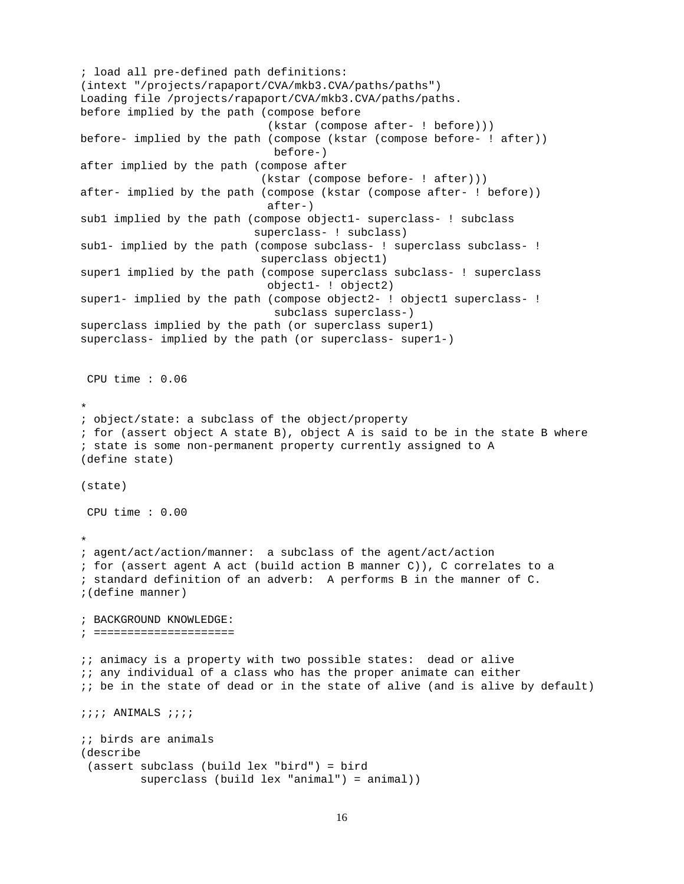```
; load all pre-defined path definitions:
(intext "/projects/rapaport/CVA/mkb3.CVA/paths/paths")
Loading file /projects/rapaport/CVA/mkb3.CVA/paths/paths.
before implied by the path (compose before
                            (kstar (compose after- ! before)))
before- implied by the path (compose (kstar (compose before- ! after))
                             before-)
after implied by the path (compose after
                           (kstar (compose before- ! after)))
after- implied by the path (compose (kstar (compose after- ! before))
                            after-)
sub1 implied by the path (compose object1- superclass- ! subclass
                          superclass- ! subclass)
sub1- implied by the path (compose subclass- ! superclass subclass- !
                           superclass object1)
super1 implied by the path (compose superclass subclass- ! superclass
                            object1- ! object2)
super1- implied by the path (compose object2- ! object1 superclass- !
                             subclass superclass-)
superclass implied by the path (or superclass super1)
superclass- implied by the path (or superclass- super1-)
CPU time : 0.06
*
; object/state: a subclass of the object/property
; for (assert object A state B), object A is said to be in the state B where
; state is some non-permanent property currently assigned to A
(define state)
(state)
CPU time : 0.00
*
; agent/act/action/manner: a subclass of the agent/act/action
; for (assert agent A act (build action B manner C)), C correlates to a
; standard definition of an adverb: A performs B in the manner of C.
;(define manner)
; BACKGROUND KNOWLEDGE:
; =====================
;; animacy is a property with two possible states: dead or alive
i; any individual of a class who has the proper animate can either
i; be in the state of dead or in the state of alive (and is alive by default)
;;;; ANIMALS ;;;;
;; birds are animals
(describe
 (assert subclass (build lex "bird") = bird
         superclass (build lex "animal") = animal))
```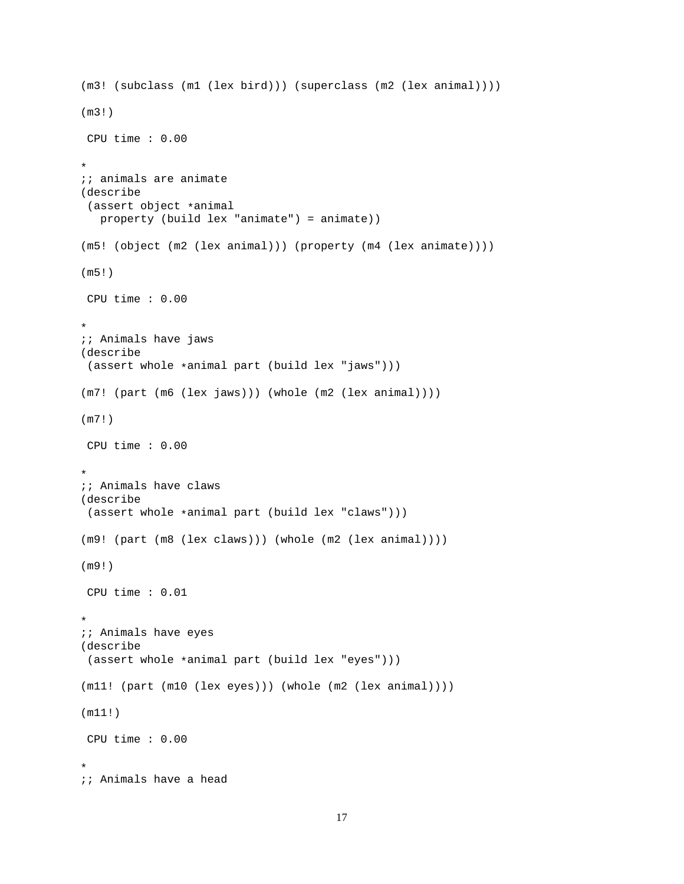```
(m3! (subclass (m1 (lex bird))) (superclass (m2 (lex animal))))
(m3!)
CPU time : 0.00
*
i; animals are animate
(describe
(assert object *animal
  property (build lex "animate") = animate))
(m5! (object (m2 (lex animal))) (property (m4 (lex animate))))
(m5!)
CPU time : 0.00
*
;; Animals have jaws
(describe
(assert whole *animal part (build lex "jaws")))
(m7! (part (m6 (lex jaws))) (whole (m2 (lex animal))))
(m7!)
CPU time : 0.00
*
;; Animals have claws
(describe
(assert whole *animal part (build lex "claws")))
(m9! (part (m8 (lex claws))) (whole (m2 (lex animal))))
(m9!)
CPU time : 0.01
*
;; Animals have eyes
(describe
(assert whole *animal part (build lex "eyes")))
(m11! (part (m10 (lex eyes))) (whole (m2 (lex animal))))
(m11!)
CPU time : 0.00
*
;; Animals have a head
```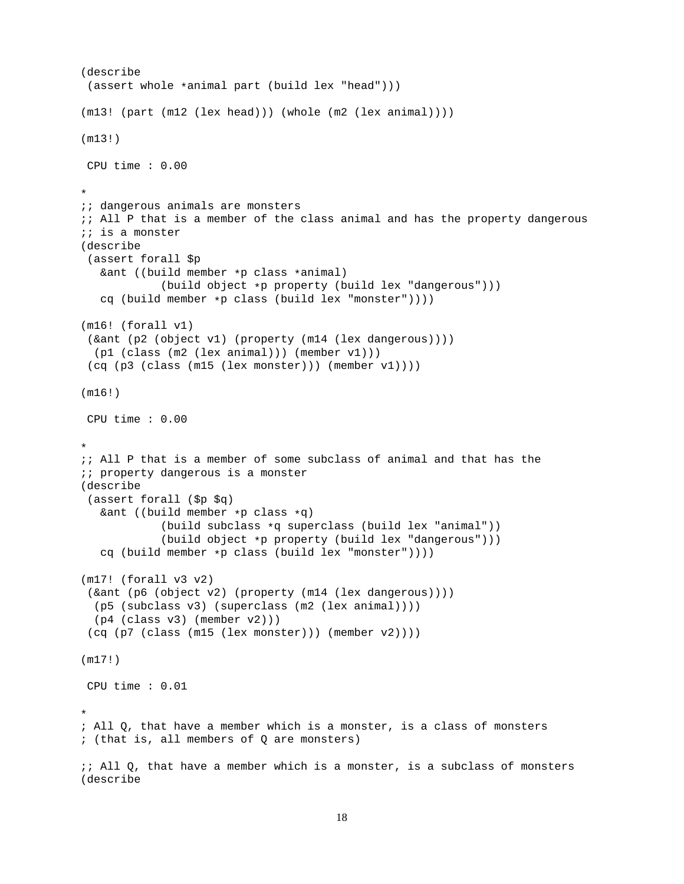```
(describe
 (assert whole *animal part (build lex "head")))
(m13! (part (m12 (lex head))) (whole (m2 (lex animal))))(m13!)
CPU time : 0.00
*
i; dangerous animals are monsters
;; All P that is a member of the class animal and has the property dangerous
;; is a monster
(describe
(assert forall $p
  &ant ((build member *p class *animal)
            (build object *p property (build lex "dangerous")))
  cq (build member *p class (build lex "monster"))))
(m16! (forall v1)
(&ant (p2 (object v1) (property (m14 (lex dangerous))))
 (p1 (class (m2 (lex animal))) (member v1)))
(cq (p3 (class (m15 (lex monster))) (member v1))))
(m16!)
CPU time : 0.00
*
;; All P that is a member of some subclass of animal and that has the
i; property dangerous is a monster
(describe
(assert forall ($p $q)
  &ant ((build member *p class *q)
            (build subclass *q superclass (build lex "animal"))
            (build object *p property (build lex "dangerous")))
  cq (build member *p class (build lex "monster"))))
(m17! (forall v3 v2)
(&ant (p6 (object v2) (property (m14 (lex dangerous))))
 (p5 (subclass v3) (superclass (m2 (lex animal))))
 (p4 (class v3) (member v2)))
(cq (p7 (class (m15 (lex monster))) (member v2))))
(m17!)
CPU time : 0.01
*
; All Q, that have a member which is a monster, is a class of monsters
; (that is, all members of Q are monsters)
;; All Q, that have a member which is a monster, is a subclass of monsters
(describe
```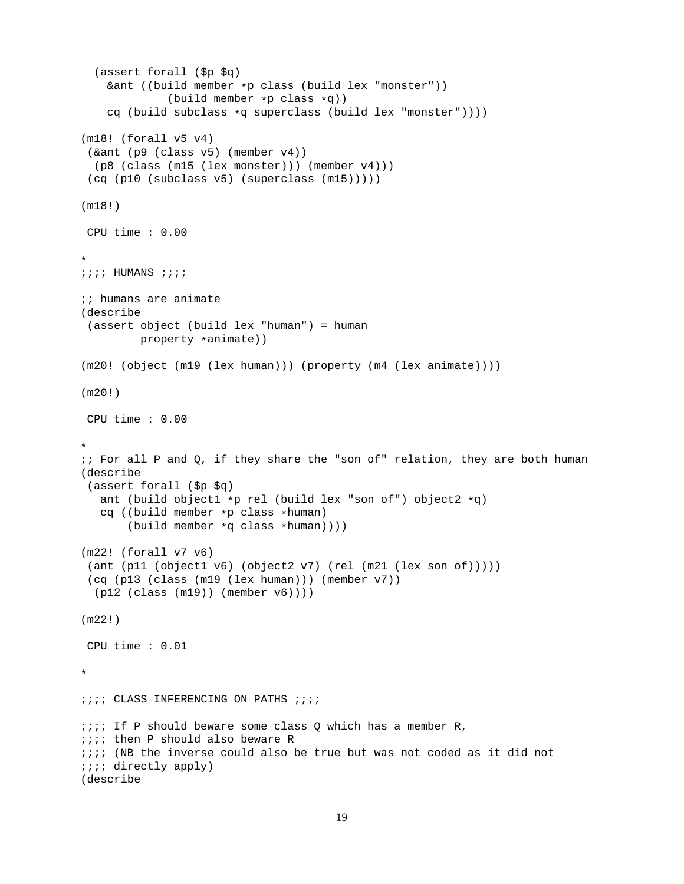```
(assert forall ($p $q)
    &ant ((build member *p class (build lex "monster"))
              (build member *p class *q))
    cq (build subclass *q superclass (build lex "monster"))))
(m18! (forall v5 v4)
 (&ant (p9 (class v5) (member v4))
  (p8 (class (m15 (lex monster))) (member v4)))
(cq (p10 (subclass v5) (superclass (m15)))))
(m18!)
CPU time : 0.00
*
;;;; HUMANS ;;;;
;; humans are animate
(describe
(assert object (build lex "human") = human
         property *animate))
(m20! (object (m19 (lex human))) (property (m4 (lex animate))))
(m20!)
CPU time : 0.00
*
;; For all P and Q, if they share the "son of" relation, they are both human
(describe
(assert forall ($p $q)
  ant (build object1 *p rel (build lex "son of") object2 *q)
   cq ((build member *p class *human)
       (build member *q class *human))))
(m22! (forall v7 v6)
(\text{ant } (\text{pl1 } (\text{object1 } \text{v6}) \ (\text{object2 } \text{v7}) \ (\text{rel } (\text{m21 } (\text{lex son of}))))))(cq (p13 (class (m19 (lex human))) (member v7))
  (p12 (class (m19)) (member v6))))
(m22!)
CPU time : 0.01
*
;;;;; CLASS INFERENCING ON PATHS ;;;;
;;;; If P should beware some class Q which has a member R,
;;;; then P should also beware R
;;;; (NB the inverse could also be true but was not coded as it did not
;;;; directly apply)
(describe
```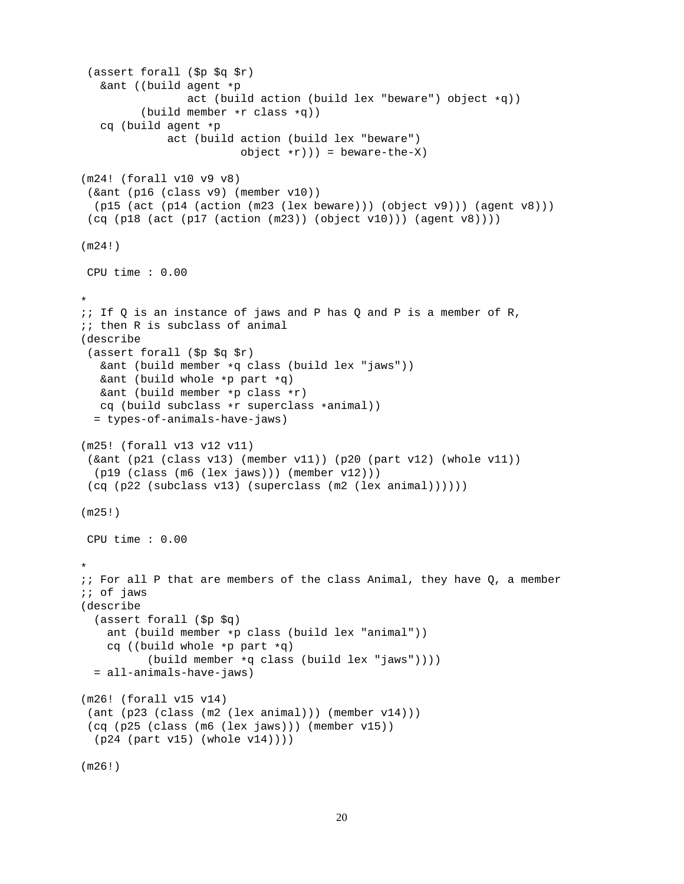```
(assert forall ($p $q $r)
  &ant ((build agent *p
                act (build action (build lex "beware") object *q))
         (build member *r class *q))
  cq (build agent *p
             act (build action (build lex "beware")
                        object *r)) = beware-the-X)(m24! (forall v10 v9 v8)
(&ant (p16 (class v9) (member v10))
 (p15 (act (p14 (action (m23 (lex beware))) (object v9))) (agent v8)))
(cq (p18 (act (p17 (action (m23)) (object v10))) (agent v8))))
(m24!)
CPU time : 0.00
*
\forall i If Q is an instance of jaws and P has Q and P is a member of R,
i; then R is subclass of animal
(describe
(assert forall ($p $q $r)
  &ant (build member *q class (build lex "jaws"))
  &ant (build whole *p part *q)
  &ant (build member *p class *r)
  cq (build subclass *r superclass *animal))
 = types-of-animals-have-jaws)
(m25! (forall v13 v12 v11)
(&ant (p21 (class v13) (member v11)) (p20 (part v12) (whole v11))
 (p19 (class (m6 (lex jaws))) (member v12)))
(cq (p22 (subclass v13) (superclass (m2 (lex animal))))))
(m25!)
CPU time : 0.00
*
i; For all P that are members of the class Animal, they have Q, a member
;; of jaws
(describe
 (assert forall ($p $q)
   ant (build member *p class (build lex "animal"))
   cq ((build whole *p part *q)
          (build member *q class (build lex "jaws"))))
 = all-animals-have-jaws)
(m26! (forall v15 v14)
(ant (p23 (class (m2 (lex animal))) (member v14)))
(cq (p25 (class (m6 (lex jaws))) (member v15))
 (p24 (part v15) (whole v14))))
(m26!)
```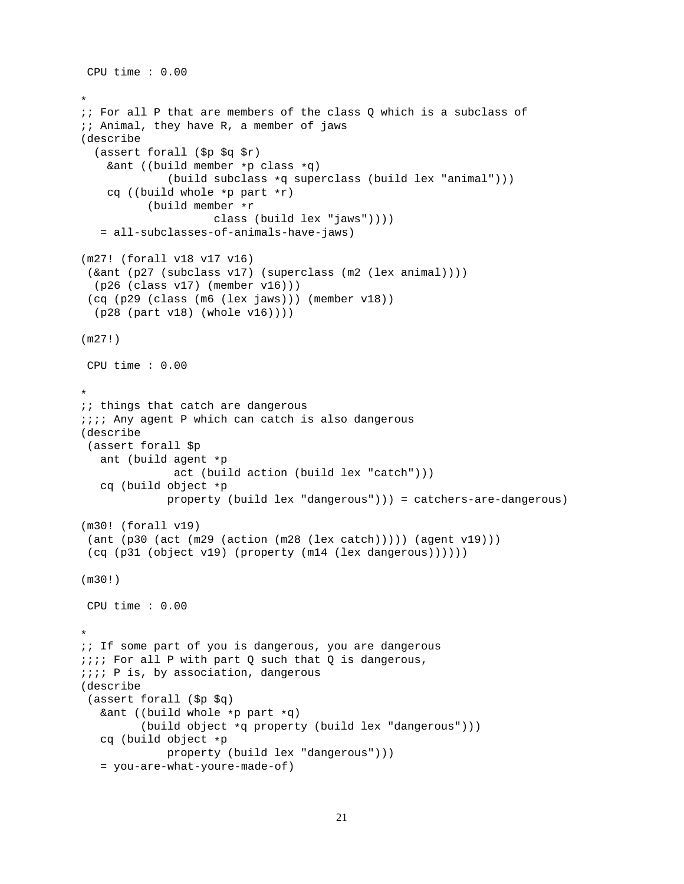```
CPU time : 0.00
*
;; For all P that are members of the class Q which is a subclass of
i: Animal, they have R, a member of jaws
(describe
  (assert forall ($p $q $r)
   &ant ((build member *p class *q)
             (build subclass *q superclass (build lex "animal")))
   cq ((build whole *p part *r)
          (build member *r
                    class (build lex "jaws"))))
   = all-subclasses-of-animals-have-jaws)
(m27! (forall v18 v17 v16)
 (&ant (p27 (subclass v17) (superclass (m2 (lex animal))))
 (p26 (class v17) (member v16)))
 (cq (p29 (class (m6 (lex jaws))) (member v18))
  (p28 (part v18) (whole v16))))
(m27!)
CPU time : 0.00
*
i; things that catch are dangerous
;;;; Any agent P which can catch is also dangerous
(describe
(assert forall $p
  ant (build agent *p
              act (build action (build lex "catch")))
  cq (build object *p
             property (build lex "dangerous"))) = catchers-are-dangerous)
(m30! (forall v19)
 (ant (p30 (act (m29 (action (m28 (lex catch))))) (agent v19)))
 (cq (p31 (object v19) (property (m14 (lex dangerous))))))
(m30!)
CPU time : 0.00
*
: i If some part of you is dangerous, you are dangerous
i;;;; For all P with part Q such that Q is dangerous,
;;;; P is, by association, dangerous
(describe
 (assert forall ($p $q)
  &ant ((build whole *p part *q)
         (build object *q property (build lex "dangerous")))
  cq (build object *p
             property (build lex "dangerous")))
   = you-are-what-youre-made-of)
```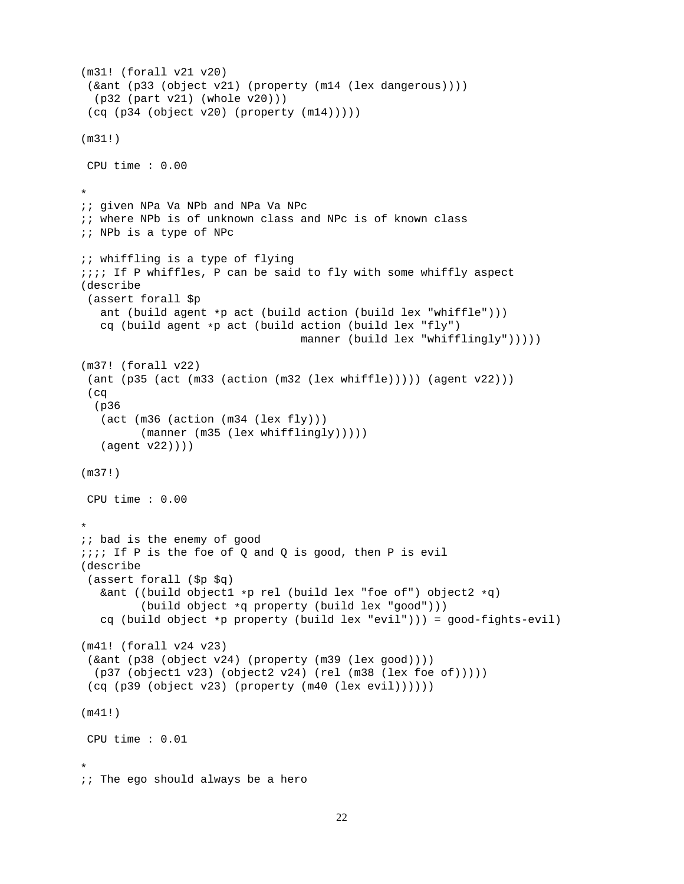```
(m31! (forall v21 v20)
 (&ant (p33 (object v21) (property (m14 (lex dangerous))))
  (p32 (part v21) (whole v20)))
 (cq (p34 (object v20) (property (m14)))))
(m31!)
CPU time : 0.00
*
i; given NPa Va NPb and NPa Va NPc
;; where NPb is of unknown class and NPc is of known class
;; NPb is a type of NPc
i: whiffling is a type of flying
;;;; If P whiffles, P can be said to fly with some whiffly aspect
(describe
 (assert forall $p
  ant (build agent *p act (build action (build lex "whiffle")))
  cq (build agent *p act (build action (build lex "fly")
                                 manner (build lex "whifflingly")))))
(m37! (forall v22)
 (ant (p35 (act (m33 (action (m32 (lex whiffle))))) (agent v22)))
 (cq
 (p36
  (act (m36 (action (m34 (lex fly)))
        (manner (m35 (lex whifflingly)))))
  (agent v22))))
(m37!)
CPU time : 0.00
*
i; bad is the enemy of good
;;;; If P is the foe of Q and Q is good, then P is evil
(describe
 (assert forall ($p $q)
  &ant ((build object1 *p rel (build lex "foe of") object2 *q)
         (build object *q property (build lex "good")))
  cq (build object *p property (build lex "evil"))) = good-fights-evil)
(m41! (forall v24 v23)
 (&ant (p38 (object v24) (property (m39 (lex good))))
 (p37 (object1 v23) (object2 v24) (rel (m38 (lex foe of)))))
 (cq (p39 (object v23) (property (m40 (lex evil))))))
(m41!)
CPU time : 0.01
*
i; The ego should always be a hero
```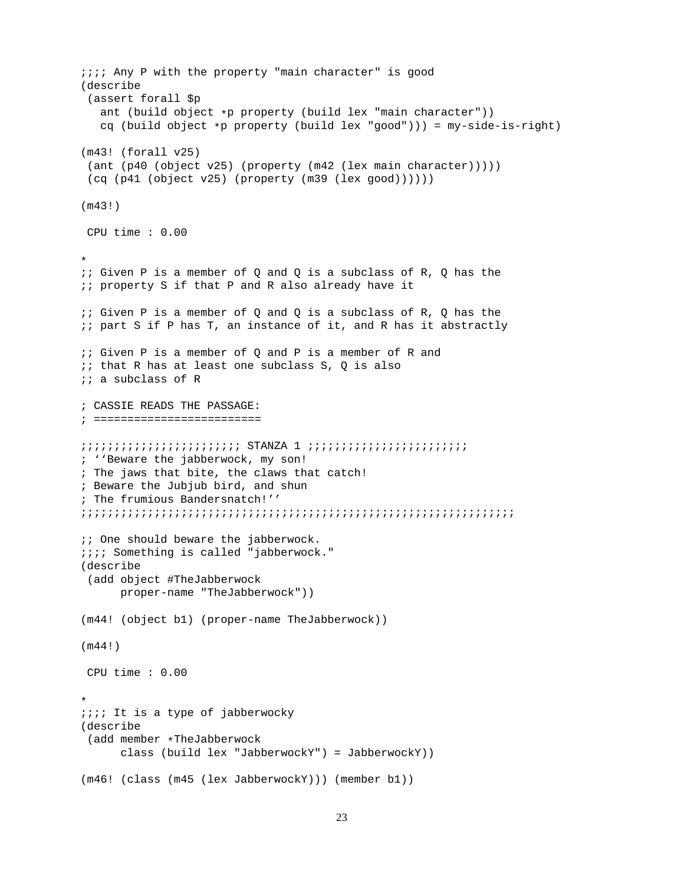```
;;;; Any P with the property "main character" is good
(describe
 (assert forall $p
  ant (build object *p property (build lex "main character"))
  cq (build object *p property (build lex "good"))) = my-side-is-right)
(m43! (forall v25)
 (ant (p40 (object v25) (property (m42 (lex main character)))))
(cq (p41 (object v25) (property (m39 (lex good))))))
(m43!)
CPU time : 0.00
*
i; Given P is a member of Q and Q is a subclass of R, Q has the
i; property S if that P and R also already have it
\forall i Given P is a member of Q and Q is a subclass of R, Q has the
;; part S if P has T, an instance of it, and R has it abstractly
;; Given P is a member of Q and P is a member of R and
i; that R has at least one subclass S, Q is also
;; a subclass of R
; CASSIE READS THE PASSAGE:
; =========================
;;;;;;;;;;;;;;;;;;;;;;;; STANZA 1 ;;;;;;;;;;;;;;;;;;;;;;;;
; ''Beware the jabberwock, my son!
; The jaws that bite, the claws that catch!
; Beware the Jubjub bird, and shun
; The frumious Bandersnatch!''
;;;;;;;;;;;;;;;;;;;;;;;;;;;;;;;;;;;;;;;;;;;;;;;;;;;;;;;;;;;;;;;;;
;; One should beware the jabberwock.
;;;; Something is called "jabberwock."
(describe
(add object #TheJabberwock
     proper-name "TheJabberwock"))
(m44! (object b1) (proper-name TheJabberwock))
(m44!)
CPU time : 0.00
*
;;;; It is a type of jabberwocky
(describe
 (add member *TheJabberwock
      class (build lex "JabberwockY") = JabberwockY))
(m46! (class (m45 (lex JabberwockY))) (member b1))
```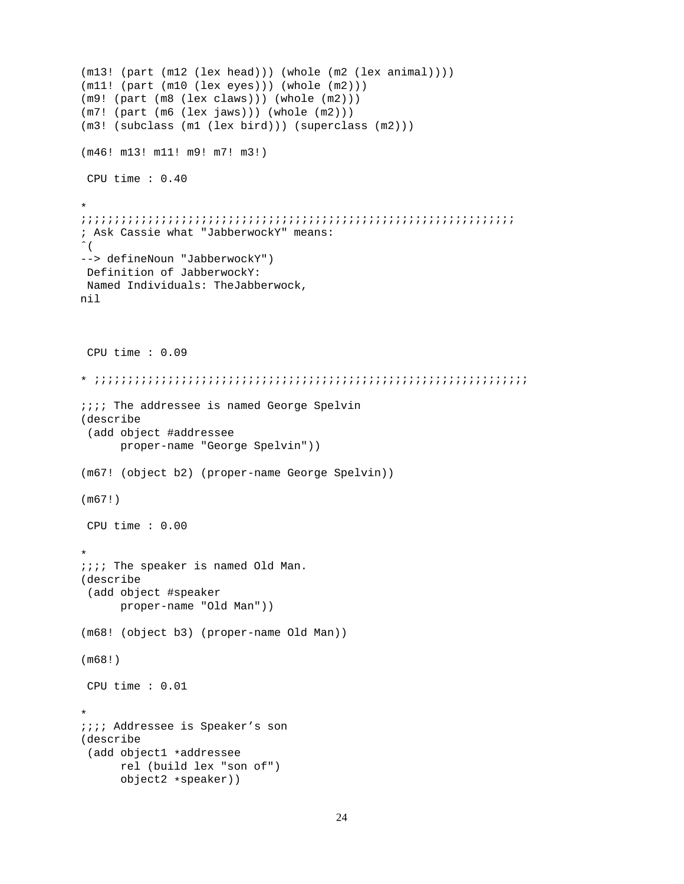```
(m13! (part (m12 (lex head))) (whole (m2 (lex animal))))
(m11! (part (m10 (lex eyes))) (whole (m2)))
(m9! (part (m8 (lex claws))) (whole (m2)))
(m7! (part (m6 (lex jaws))) (whole (m2)))
(m3! (subclass (m1 (lex bird))) (superclass (m2)))
(m46! m13! m11! m9! m7! m3!)
CPU time : 0.40
*
;;;;;;;;;;;;;;;;;;;;;;;;;;;;;;;;;;;;;;;;;;;;;;;;;;;;;;;;;;;;;;;;;
; Ask Cassie what "JabberwockY" means:
\hat{\ } (
--> defineNoun "JabberwockY")
Definition of JabberwockY:
Named Individuals: TheJabberwock,
nil
CPU time : 0.09
* ;;;;;;;;;;;;;;;;;;;;;;;;;;;;;;;;;;;;;;;;;;;;;;;;;;;;;;;;;;;;;;;;;
;;;; The addressee is named George Spelvin
(describe
 (add object #addressee
      proper-name "George Spelvin"))
(m67! (object b2) (proper-name George Spelvin))
(m67!)
CPU time : 0.00
*
;;;; The speaker is named Old Man.
(describe
 (add object #speaker
      proper-name "Old Man"))
(m68! (object b3) (proper-name Old Man))
(m68!)
CPU time : 0.01
*
;;;; Addressee is Speaker's son
(describe
 (add object1 *addressee
      rel (build lex "son of")
      object2 *speaker))
```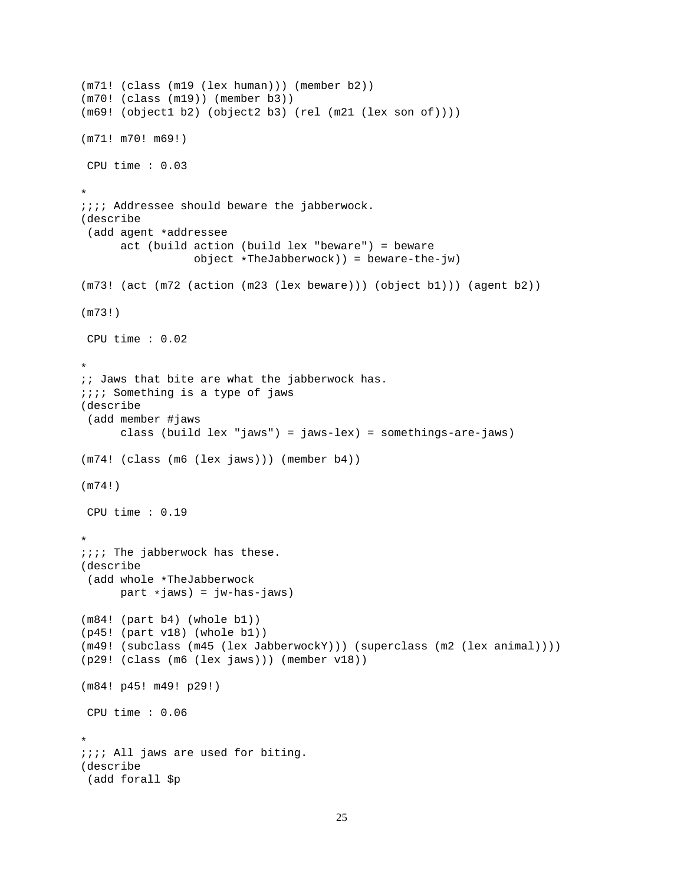```
(m71! (class (m19 (lex human))) (member b2))
(m70! (class (m19)) (member b3))
(m69! (object1 b2) (object2 b3) (rel (m21 (lex son of))))
(m71! m70! m69!)
CPU time : 0.03
*
;;;; Addressee should beware the jabberwock.
(describe
 (add agent *addressee
     act (build action (build lex "beware") = beware
                 object *TheJabberwock)) = beware-the-jw)
(m73! (act (m72 (action (m23 (lex beware))) (object b1))) (agent b2))
(m73!)
CPU time : 0.02
*
i; Jaws that bite are what the jabberwock has.
;;;; Something is a type of jaws
(describe
(add member #jaws
     class (build lex "jaws") = jaws-lex) = somethings-are-jaws)
(m74! (class (m6 (lex jaws))) (member b4))
(m74!)
CPU time : 0.19
*
iiii The jabberwock has these.
(describe
(add whole *TheJabberwock
     part *jaws) = jw-has-jaws)(m84! (part b4) (whole b1))
(p45! (part v18) (whole b1))
(m49! (subclass (m45 (lex JabberwockY))) (superclass (m2 (lex animal))))
(p29! (class (m6 (lex jaws))) (member v18))
(m84! p45! m49! p29!)
CPU time : 0.06
*
iiii All jaws are used for biting.
(describe
(add forall $p
```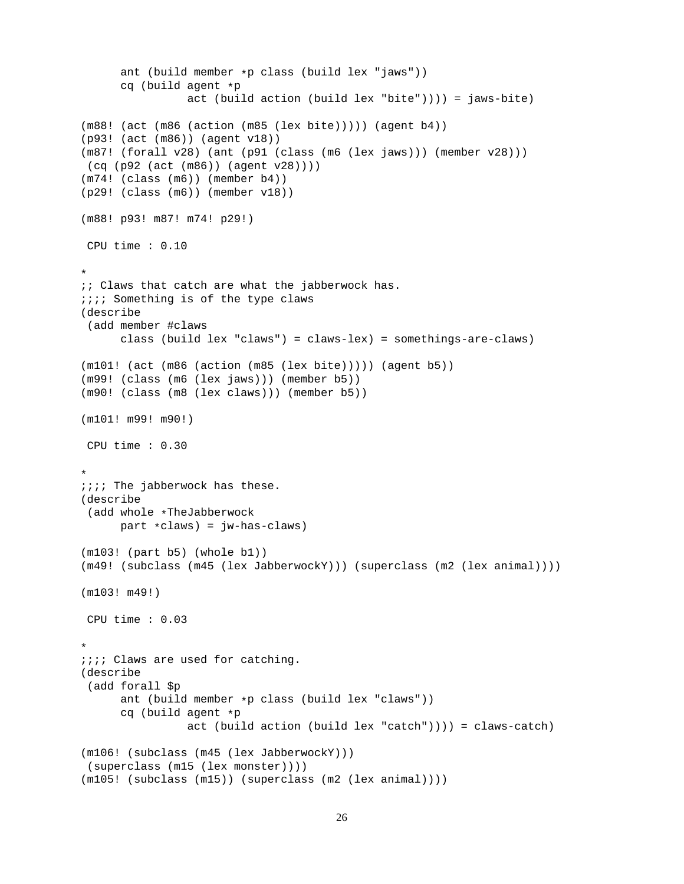```
ant (build member *p class (build lex "jaws"))
     cq (build agent *p
                act (build action (build lex "bite")))) = jaws-bite)
(m88! (act (m86 (action (m85 (lex bite))))) (agent b4))
(p93! (act (m86)) (agent v18))
(m87! (forall v28) (ant (p91 (class (m6 (lex jaws))) (member v28)))
(cq (p92 (act (m86)) (agent v28))))
(m74! (class (m6)) (member b4))
(p29! (class (m6)) (member v18))
(m88! p93! m87! m74! p29!)
CPU time : 0.10
*
i: Claws that catch are what the jabberwock has.
iiii Something is of the type claws
(describe
(add member #claws
     class (build lex "claws") = claws-lex) = somethings-are-claws)
(m101! (act (m86 (action (m85 (lex bite))))) (agent b5))
(m99! (class (m6 (lex jaws))) (member b5))
(m90! (class (m8 (lex claws))) (member b5))
(m101! m99! m90!)
CPU time : 0.30
*
;;;; The jabberwock has these.
(describe
(add whole *TheJabberwock
     part *claws) = jw-has-claws)
(m103! (part b5) (whole b1))
(m49! (subclass (m45 (lex JabberwockY))) (superclass (m2 (lex animal))))
(m103! m49!)
CPU time : 0.03
*
;;;; Claws are used for catching.
(describe
(add forall $p
     ant (build member *p class (build lex "claws"))
     cq (build agent *p
                act (build action (build lex "catch")))) = claws-catch)
(m106! (subclass (m45 (lex JabberwockY)))
(superclass (m15 (lex monster))))
(m105! (subclass (m15)) (superclass (m2 (lex animal))))
```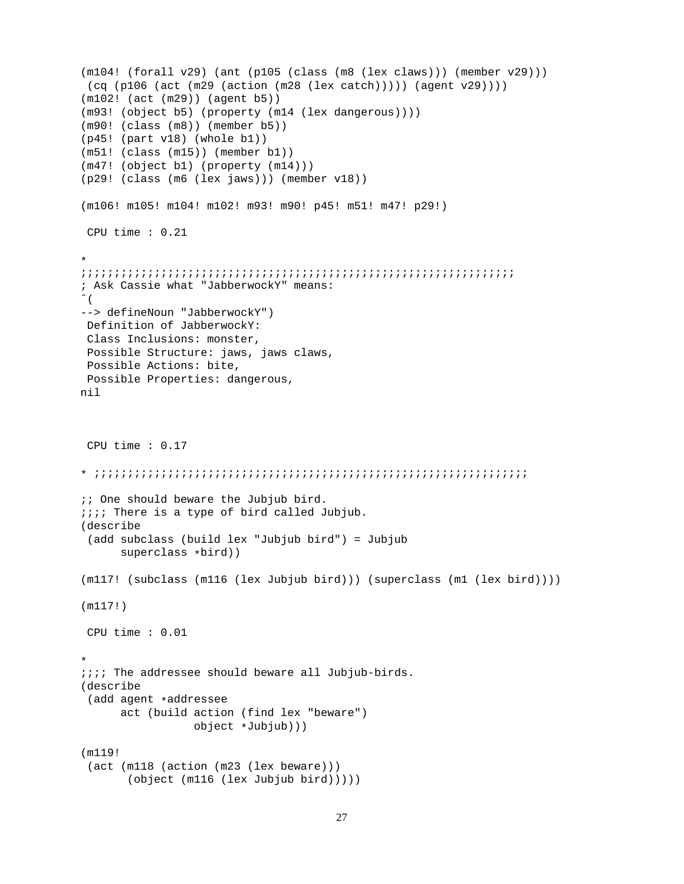```
(m104! (forall v29) (ant (p105 (class (m8 (lex claws))) (member v29)))
 (cq (p106 (act (m29 (action (m28 (lex catch))))) (agent v29))))
(m102! (act (m29)) (agent b5))
(m93! (object b5) (property (m14 (lex dangerous))))
(m90! (class (m8)) (member b5))
(p45! (part v18) (whole b1))
(m51! (class (m15)) (member b1))
(m47! (object b1) (property (m14)))
(p29! (class (m6 (lex jaws))) (member v18))
(m106! m105! m104! m102! m93! m90! p45! m51! m47! p29!)
CPU time : 0.21
*
;;;;;;;;;;;;;;;;;;;;;;;;;;;;;;;;;;;;;;;;;;;;;;;;;;;;;;;;;;;;;;;;;
; Ask Cassie what "JabberwockY" means:
\hat{\ } (
--> defineNoun "JabberwockY")
Definition of JabberwockY:
Class Inclusions: monster,
 Possible Structure: jaws, jaws claws,
 Possible Actions: bite,
 Possible Properties: dangerous,
nil
CPU time : 0.17
* ;;;;;;;;;;;;;;;;;;;;;;;;;;;;;;;;;;;;;;;;;;;;;;;;;;;;;;;;;;;;;;;;;
i; One should beware the Jubjub bird.
;;;; There is a type of bird called Jubjub.
(describe
 (add subclass (build lex "Jubjub bird") = Jubjub
      superclass *bird))
(m117! (subclass (m116 (lex Jubjub bird))) (superclass (m1 (lex bird))))
(m117!)
CPU time : 0.01
*
;;;; The addressee should beware all Jubjub-birds.
(describe
 (add agent *addressee
      act (build action (find lex "beware")
                 object *Jubjub)))
(m119!
 (act (m118 (action (m23 (lex beware)))
       (object (m116 (lex Jubjub bird)))))
```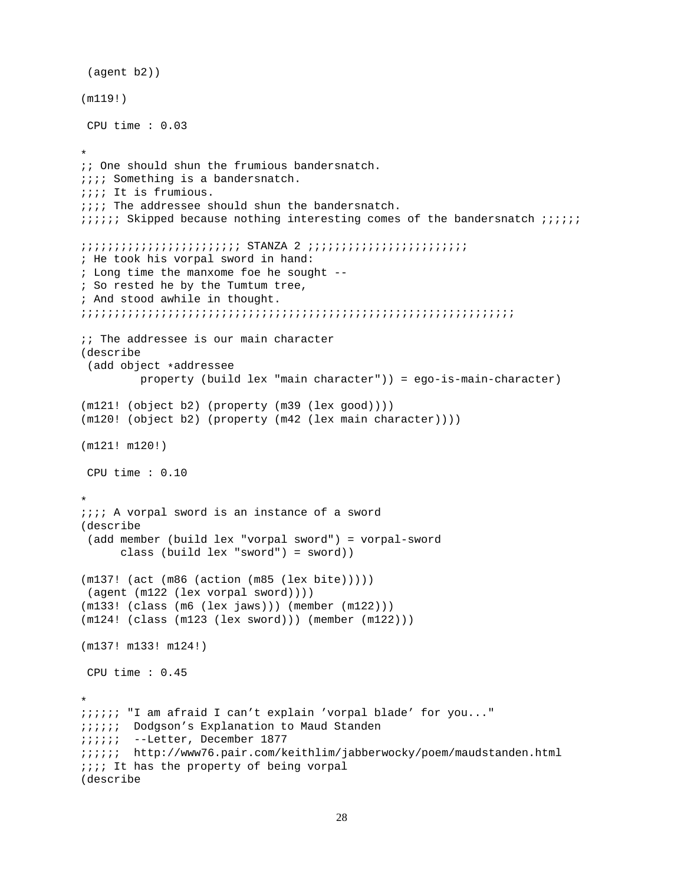```
(agent b2))
(m119!)
CPU time : 0.03
*
;; One should shun the frumious bandersnatch.
;;;; Something is a bandersnatch.
;;;; It is frumious.
;;;; The addressee should shun the bandersnatch.
;;;;;;; Skipped because nothing interesting comes of the bandersnatch ;;;;;;
;;;;;;;;;;;;;;;;;;;;;;;; STANZA 2 ;;;;;;;;;;;;;;;;;;;;;;;;
; He took his vorpal sword in hand:
; Long time the manxome foe he sought --
; So rested he by the Tumtum tree,
; And stood awhile in thought.
;;;;;;;;;;;;;;;;;;;;;;;;;;;;;;;;;;;;;;;;;;;;;;;;;;;;;;;;;;;;;;;;;
;; The addressee is our main character
(describe
 (add object *addressee
         property (build lex "main character")) = ego-is-main-character)
(m121! (object b2) (property (m39 (lex good))))
(m120! (object b2) (property (m42 (lex main character))))
(m121! m120!)
CPU time : 0.10
*
;;;; A vorpal sword is an instance of a sword
(describe
 (add member (build lex "vorpal sword") = vorpal-sword
      class (build lex "sword") = sword))
(m137! (act (m86 (action (m85 (lex bite)))))
(agent (m122 (lex vorpal sword))))
(m133! (class (m6 (lex jaws))) (member (m122)))
(m124! (class (m123 (lex sword))) (member (m122)))
(m137! m133! m124!)
CPU time : 0.45
*
;;;;;; "I am afraid I can't explain 'vorpal blade' for you..."
;;;;;; Dodgson's Explanation to Maud Standen
;;;;;; --Letter, December 1877
;;;;;; http://www76.pair.com/keithlim/jabberwocky/poem/maudstanden.html
iiii It has the property of being vorpal
(describe
```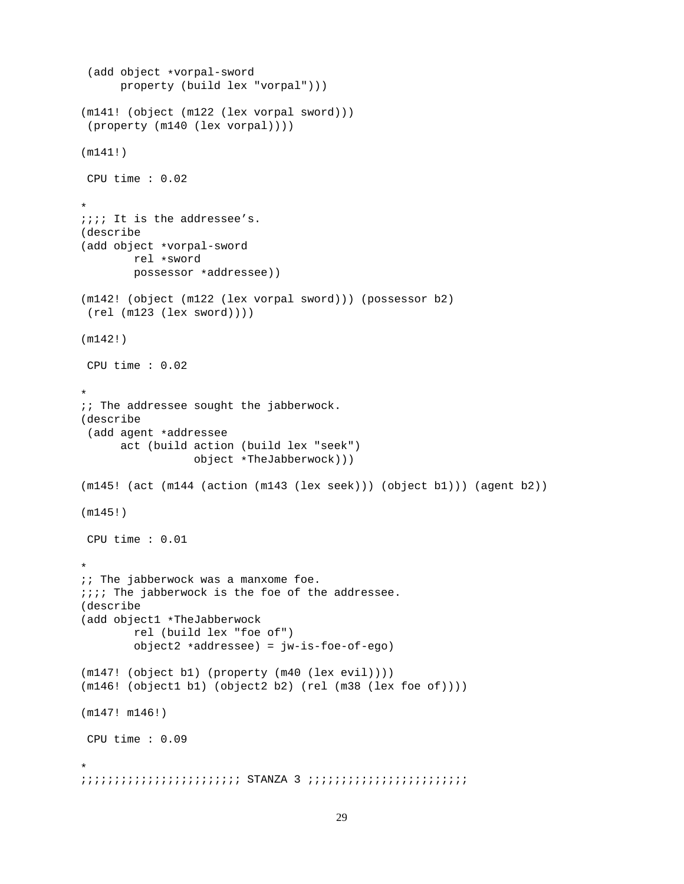```
(add object *vorpal-sword
     property (build lex "vorpal")))
(m141! (object (m122 (lex vorpal sword)))
 (property (m140 (lex vorpal))))
(m141!)
CPU time : 0.02
*
;;;; It is the addressee's.
(describe
(add object *vorpal-sword
       rel *sword
       possessor *addressee))
(m142! (object (m122 (lex vorpal sword))) (possessor b2)
 (rel (m123 (lex sword))))
(m142!)
CPU time : 0.02
*
;; The addressee sought the jabberwock.
(describe
 (add agent *addressee
     act (build action (build lex "seek")
                 object *TheJabberwock)))
(m145! (act (m144 (action (m143 (lex seek))) (object b1))) (agent b2))
(m145!)
CPU time : 0.01
*
i: The jabberwock was a manxome foe.
;;;;; The jabberwock is the foe of the addressee.
(describe
(add object1 *TheJabberwock
       rel (build lex "foe of")
        object2 *addressee) = jw-is-foe-of-ego)
(m147! (object b1) (property (m40 (lex evil))))
(m146! (object1 b1) (object2 b2) (rel (m38 (lex foe of))))
(m147! m146!)
CPU time : 0.09
*
;;;;;;;;;;;;;;;;;;;;;;;; STANZA 3 ;;;;;;;;;;;;;;;;;;;;;;;;
```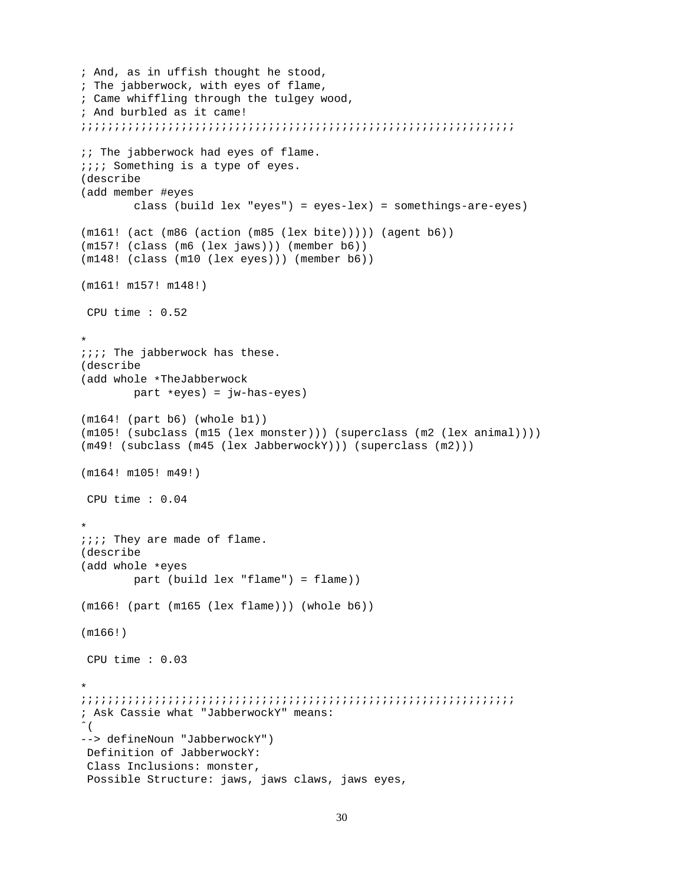```
; And, as in uffish thought he stood,
; The jabberwock, with eyes of flame,
; Came whiffling through the tulgey wood,
; And burbled as it came!
;;;;;;;;;;;;;;;;;;;;;;;;;;;;;;;;;;;;;;;;;;;;;;;;;;;;;;;;;;;;;;;;;
;; The jabberwock had eyes of flame.
;;;; Something is a type of eyes.
(describe
(add member #eyes
        class (build lex "eyes") = eyes-lex) = somethings-are-eyes)
(m161! (act (m86 (action (m85 (lex bite))))) (agent b6))
(m157! (class (m6 (lex jaws))) (member b6))
(m148! (class (m10 (lex eyes))) (member b6))
(m161! m157! m148!)
CPU time : 0.52
*
iiii The jabberwock has these.
(describe
(add whole *TheJabberwock
       part *eyes) = jw-has-eyes)
(m164! (part b6) (whole b1))
(m105! (subclass (m15 (lex monster))) (superclass (m2 (lex animal))))
(m49! (subclass (m45 (lex JabberwockY))) (superclass (m2)))
(m164! m105! m49!)
CPU time : 0.04
*
;;;; They are made of flame.
(describe
(add whole *eyes
       part (build lex "flame") = flame))
(m166! (part (m165 (lex flame))) (whole b6))
(m166!)
CPU time : 0.03
*
;;;;;;;;;;;;;;;;;;;;;;;;;;;;;;;;;;;;;;;;;;;;;;;;;;;;;;;;;;;;;;;;;
; Ask Cassie what "JabberwockY" means:
\hat{\ } (
--> defineNoun "JabberwockY")
Definition of JabberwockY:
Class Inclusions: monster,
Possible Structure: jaws, jaws claws, jaws eyes,
```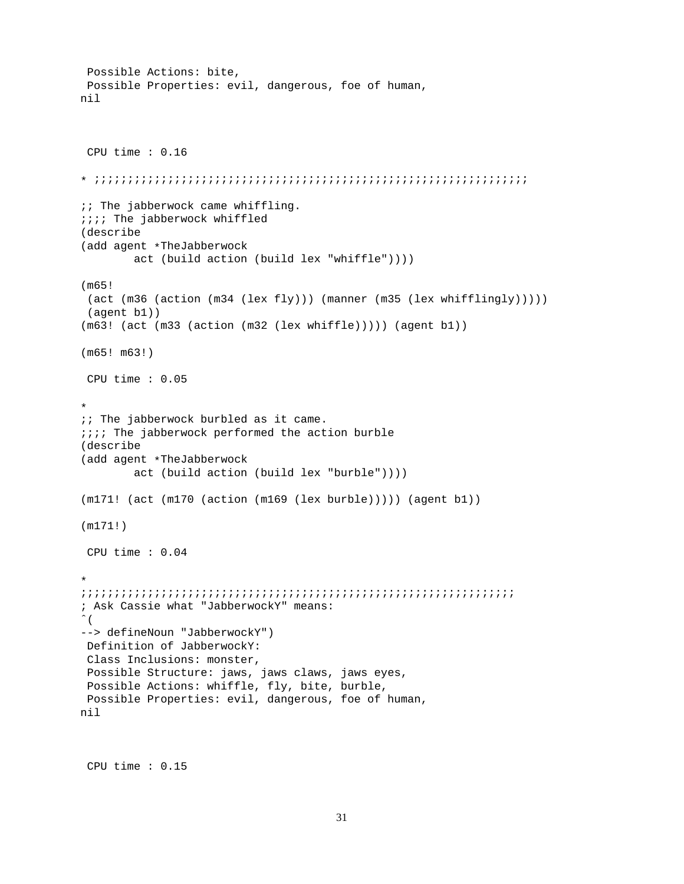```
Possible Actions: bite,
 Possible Properties: evil, dangerous, foe of human,
nil
CPU time : 0.16
* ;;;;;;;;;;;;;;;;;;;;;;;;;;;;;;;;;;;;;;;;;;;;;;;;;;;;;;;;;;;;;;;;;
i: The jabberwock came whiffling.
;;;; The jabberwock whiffled
(describe
(add agent *TheJabberwock
        act (build action (build lex "whiffle"))))
(m65!
 (act (m36 (action (m34 (lex fly))) (manner (m35 (lex whifflingly)))))
 (agent b1))
(m63! (act (m33 (action (m32 (lex whiffle))))) (agent b1))
(m65! m63!)
CPU time : 0.05
*
;; The jabberwock burbled as it came.
;;;; The jabberwock performed the action burble
(describe
(add agent *TheJabberwock
        act (build action (build lex "burble"))))
(m171! (act (m170 (action (m169 (lex burble))))) (agent b1))
(m171!)
CPU time : 0.04
*
;;;;;;;;;;;;;;;;;;;;;;;;;;;;;;;;;;;;;;;;;;;;;;;;;;;;;;;;;;;;;;;;;
; Ask Cassie what "JabberwockY" means:
\hat{\ } (
--> defineNoun "JabberwockY")
Definition of JabberwockY:
Class Inclusions: monster,
Possible Structure: jaws, jaws claws, jaws eyes,
 Possible Actions: whiffle, fly, bite, burble,
 Possible Properties: evil, dangerous, foe of human,
nil
```
CPU time : 0.15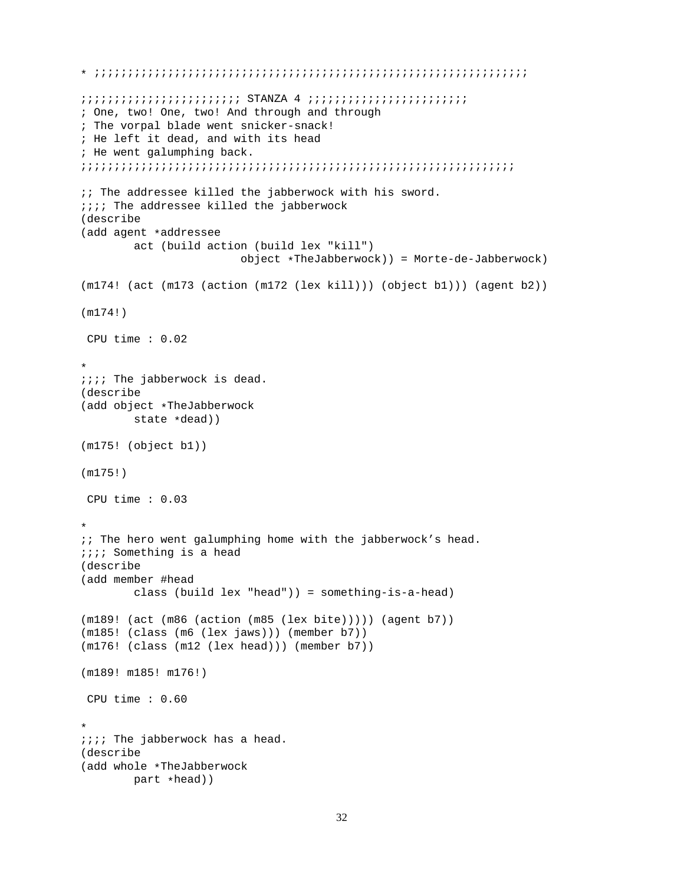```
* ;;;;;;;;;;;;;;;;;;;;;;;;;;;;;;;;;;;;;;;;;;;;;;;;;;;;;;;;;;;;;;;;;
;;;;;;;;;;;;;;;;;;;;;;;; STANZA 4 ;;;;;;;;;;;;;;;;;;;;;;;;
; One, two! One, two! And through and through
; The vorpal blade went snicker-snack!
; He left it dead, and with its head
; He went galumphing back.
;;;;;;;;;;;;;;;;;;;;;;;;;;;;;;;;;;;;;;;;;;;;;;;;;;;;;;;;;;;;;;;;;
:: The addressee killed the jabberwock with his sword.
;;;; The addressee killed the jabberwock
(describe
(add agent *addressee
        act (build action (build lex "kill")
                        object *TheJabberwock)) = Morte-de-Jabberwock)
(m174! (act (m173 (action (m172 (lex kill))) (object b1))) (agent b2))
(m174!)
CPU time : 0.02
*
;;;; The jabberwock is dead.
(describe
(add object *TheJabberwock
       state *dead))
(m175! (object b1))
(m175!)
CPU time : 0.03
*
;; The hero went galumphing home with the jabberwock's head.
iiii Something is a head
(describe
(add member #head
        class (build lex "head")) = something-is-a-head)
(m189! (act (m86 (action (m85 (lex bite))))) (agent b7))
(m185! (class (m6 (lex jaws))) (member b7))
(m176! (class (m12 (lex head))) (member b7))
(m189! m185! m176!)
CPU time : 0.60
*
;;;; The jabberwock has a head.
(describe
(add whole *TheJabberwock
       part *head))
```

```
32
```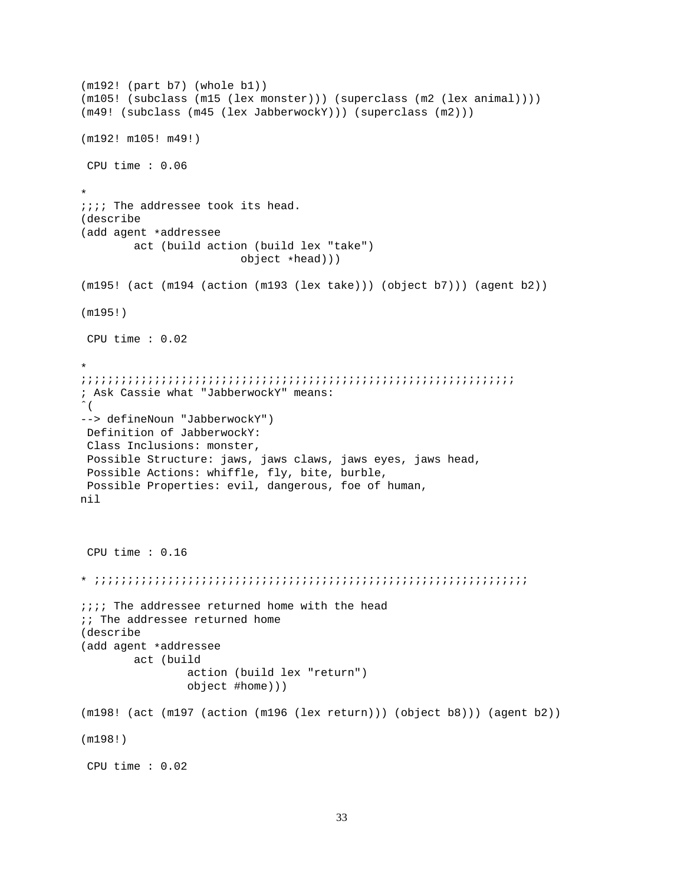```
(m192! (part b7) (whole b1))
(m105! (subclass (m15 (lex monster))) (superclass (m2 (lex animal))))
(m49! (subclass (m45 (lex JabberwockY))) (superclass (m2)))
(m192! m105! m49!)
CPU time : 0.06
*
;;;; The addressee took its head.
(describe
(add agent *addressee
        act (build action (build lex "take")
                        object *head)))
(m195! (act (m194 (action (m193 (lex take))) (object b7))) (agent b2))
(m195!)
CPU time : 0.02
*
;;;;;;;;;;;;;;;;;;;;;;;;;;;;;;;;;;;;;;;;;;;;;;;;;;;;;;;;;;;;;;;;;
; Ask Cassie what "JabberwockY" means:
\hat{\ } (
--> defineNoun "JabberwockY")
Definition of JabberwockY:
Class Inclusions: monster,
 Possible Structure: jaws, jaws claws, jaws eyes, jaws head,
 Possible Actions: whiffle, fly, bite, burble,
Possible Properties: evil, dangerous, foe of human,
nil
CPU time : 0.16
* ;;;;;;;;;;;;;;;;;;;;;;;;;;;;;;;;;;;;;;;;;;;;;;;;;;;;;;;;;;;;;;;;;
;;;; The addressee returned home with the head
;; The addressee returned home
(describe
(add agent *addressee
        act (build
                action (build lex "return")
                object #home)))
(m198! (act (m197 (action (m196 (lex return))) (object b8))) (agent b2))
(m198!)
CPU time : 0.02
```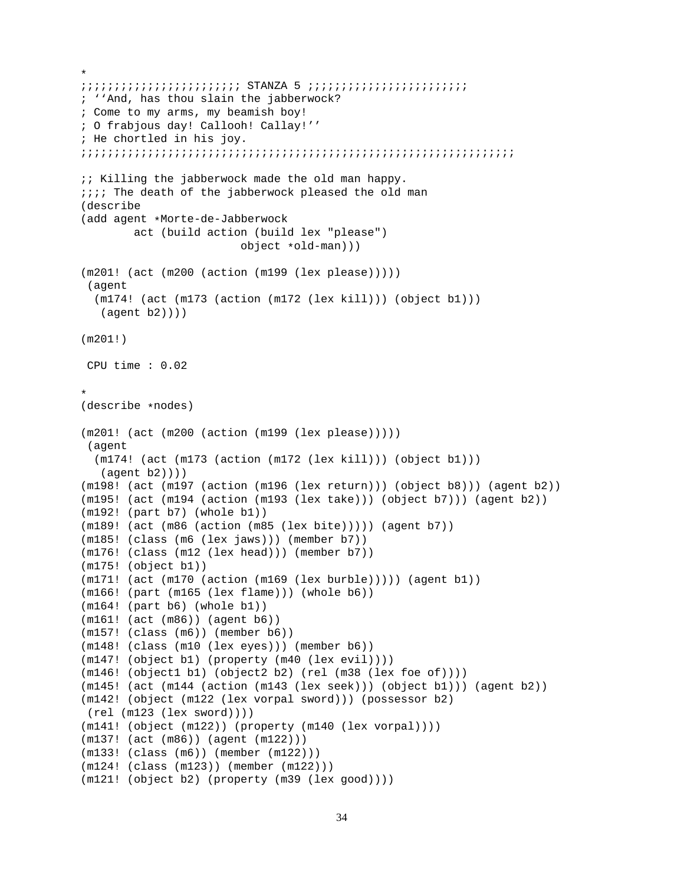```
*
;;;;;;;;;;;;;;;;;;;;;;;; STANZA 5 ;;;;;;;;;;;;;;;;;;;;;;;;
; ''And, has thou slain the jabberwock?
; Come to my arms, my beamish boy!
; O frabjous day! Callooh! Callay!''
; He chortled in his joy.
;;;;;;;;;;;;;;;;;;;;;;;;;;;;;;;;;;;;;;;;;;;;;;;;;;;;;;;;;;;;;;;;;
i: Killing the jabberwock made the old man happy.
iiii The death of the jabberwock pleased the old man
(describe
(add agent *Morte-de-Jabberwock
       act (build action (build lex "please")
                        object *old-man)))
(m201! (act (m200 (action (m199 (lex please)))))
 (agent
  (m174! (act (m173 (action (m172 (lex kill))) (object b1)))
   (\text{agent } b2)))
(m201!)
CPU time : 0.02
*
(describe *nodes)
(m201! (act (m200 (action (m199 (lex please)))))
(agent
  (m174! (act (m173 (action (m172 (lex kill))) (object b1)))
   (agent b2))))
(m198! (act (m197 (action (m196 (lex return))) (object b8))) (agent b2))
(m195! (act (m194 (action (m193 (lex take))) (object b7))) (agent b2))
(m192! (part b7) (whole b1))
(m189! (act (m86 (action (m85 (lex bite))))) (agent b7))
(m185! (class (m6 (lex jaws))) (member b7))
(m176! (class (m12 (lex head))) (member b7))
(m175! (object b1))
(m171! (act (m170 (action (m169 (lex burble))))) (agent b1))
(m166! (part (m165 (lex flame))) (whole b6))
(m164! (part b6) (whole b1))
(m161! (act (m86)) (agent b6))
(m157! (class (m6)) (member b6))
(m148! (class (m10 (lex eyes))) (member b6))
(m147! (object b1) (property (m40 (lex evil))))
(m146! (object1 b1) (object2 b2) (rel (m38 (lex foe of))))
(m145! (act (m144 (action (m143 (lex seek))) (object b1))) (agent b2))
(m142! (object (m122 (lex vorpal sword))) (possessor b2)
(rel (m123 (lex sword))))
(m141! (object (m122)) (property (m140 (lex vorpal))))
(m137! (act (m86)) (agent (m122)))
(m133! (class (m6)) (member (m122)))
(m124! (class (m123)) (member (m122)))
(m121! (object b2) (property (m39 (lex good))))
```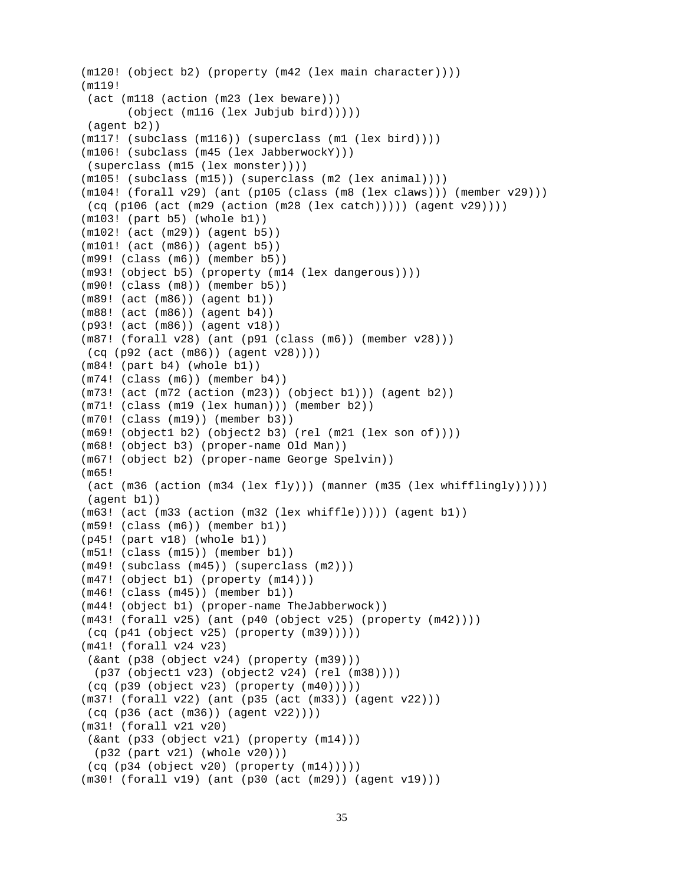```
(m120! (object b2) (property (m42 (lex main character))))
(m119!
 (act (m118 (action (m23 (lex beware)))
       (object (m116 (lex Jubjub bird)))))
 (agent b2))
(m117! (subclass (m116)) (superclass (m1 (lex bird))))
(m106! (subclass (m45 (lex JabberwockY)))
 (superclass (m15 (lex monster))))
(m105! (subclass (m15)) (superclass (m2 (lex animal))))
(m104! (forall v29) (ant (p105 (class (m8 (lex claws))) (member v29)))
 (cq (p106 (act (m29 (action (m28 (lex catch))))) (agent v29))))
(m103! (part b5) (whole b1))
(m102! (act (m29)) (agent b5))
(m101! (act (m86)) (agent b5))
(m99! (class (m6)) (member b5))
(m93! (object b5) (property (m14 (lex dangerous))))
(m90! (class (m8)) (member b5))
(m89! (act (m86)) (agent b1))
(m88! (act (m86)) (agent b4))
(p93! (act (m86)) (agent v18))
(m87! (for all v28) (ant (p91 (class (m6)) (member v28)))(cq (p92 (act (m86)) (agent v28))))
(m84! (part b4) (whole b1))
(m74! (class (m6)) (member b4))
(m73! (act (m72 (action (m23)) (object b1))) (agent b2))
(m71! (class (m19 (lex human))) (member b2))
(m70! (class (m19)) (member b3))
(m69! (object1 b2) (object2 b3) (rel (m21 (lex son of))))
(m68! (object b3) (proper-name Old Man))
(m67! (object b2) (proper-name George Spelvin))
(m65!
(act (m36 (action (m34 (lex fly)))) (manner (m35 (lex whifflingly)))))
(agent b1))
(m63! (act (m33 (action (m32 (lex whiffle))))) (agent b1))
(m59! (class (m6)) (member b1))
(p45! (part v18) (whole b1))
(m51! (class (m15)) (member b1))
(m49! (subclass (m45)) (superclass (m2)))
(m47! (object b1) (property (m14)))
(m46! (class (m45)) (member b1))
(m44! (object b1) (proper-name TheJabberwock))
(m43! (forall v25) (ant (p40 (object v25) (property (m42))))
(cq (p41 (object v25) (property (m39)))))
(m41! (forall v24 v23)
 (&ant (p38 (object v24) (property (m39)))
 (p37 (object1 v23) (object2 v24) (rel (m38))))
 (cq (p39 (object v23) (property (m40)))))
(m37! (forall v22) (ant (p35 (act (m33)) (agent v22)))
 (cq (p36 (act (m36)) (agent v22))))
(m31! (forall v21 v20)
 (&ant (p33 (object v21) (property (m14)))
 (p32 (part v21) (whole v20)))
 (cq (p34 (object v20) (property (m14)))))
(m30! (forall v19) (ant (p30 (act (m29)) (agent v19)))
```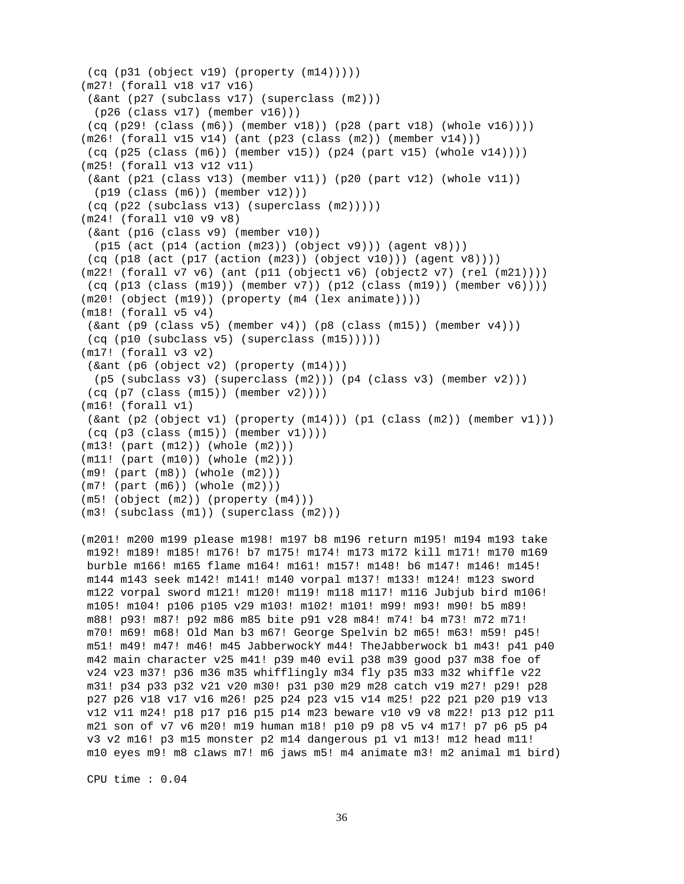```
(cq (p31 (object v19) (property (m14)))))
(m27! (forall v18 v17 v16)
 (&ant (p27 (subclass v17) (superclass (m2)))
  (p26 (class v17) (member v16)))
 (cq (p29! (class (m6)) (member v18)) (p28 (part v18) (whole v16))))(m26! (forall v15 v14) (ant (p23 (class (m2)) (member v14)))
 (cq (p25 (class (m6)) (member v15)) (p24 (part v15) (whole v14))))
(m25! (forall v13 v12 v11)
 (&ant (p21 (class v13) (member v11)) (p20 (part v12) (whole v11))
  (p19 (class (m6)) (member v12)))
 (cq (p22 (subclass v13) (superclass (m2)))))
(m24! (forall v10 v9 v8)
 (&ant (p16 (class v9) (member v10))
  (p15 (act (p14 (action (m23)) (object v9))) (agent v8)))
 (cq (p18 (act (p17 (action (m23)) (object v10))) (agent v8))))
(m22! (forall v7 v6) (ant (p11 (object1 v6) (object2 v7) (rel (m21))))
 (cq (p13 (class (m19)) (member v7)) (p12 (class (m19)) (member v6))))
(m20! (object (m19)) (property (m4 (lex animate))))
(m18! (forall v5 v4)
 (\deltaant (p9 (class v5) (member v4)) (p8 (class (m15)) (member v4)))
 (cq (p10 (subclass v5) (superclass (m15)))))
(m17! (forall v3 v2)
 (&ant (p6 (object v2) (property (m14)))
 (p5 (subclass v3) (superclass (m2))) (p4 (class v3) (member v2)))
 (cq (p7 (class (m15)) (member v2))))
(m16! (forall v1)
 (&ant (p2 (object v1) (property (m14))) (p1 (class (m2)) (member v1)))
 (cq (p3 (class (m15)) (member v1))))(m13! (part (m12)) (whole (m2)))
(m11! (part (m10)) (whole (m2)))
(m9! (part (m8)) (whole (m2)))
(m7! (part (m6)) (whole (m2)))
(m5! (object (m2)) (property (m4)))
(m3! (subclass (m1)) (superclass (m2)))
```
(m201! m200 m199 please m198! m197 b8 m196 return m195! m194 m193 take m192! m189! m185! m176! b7 m175! m174! m173 m172 kill m171! m170 m169 burble m166! m165 flame m164! m161! m157! m148! b6 m147! m146! m145! m144 m143 seek m142! m141! m140 vorpal m137! m133! m124! m123 sword m122 vorpal sword m121! m120! m119! m118 m117! m116 Jubjub bird m106! m105! m104! p106 p105 v29 m103! m102! m101! m99! m93! m90! b5 m89! m88! p93! m87! p92 m86 m85 bite p91 v28 m84! m74! b4 m73! m72 m71! m70! m69! m68! Old Man b3 m67! George Spelvin b2 m65! m63! m59! p45! m51! m49! m47! m46! m45 JabberwockY m44! TheJabberwock b1 m43! p41 p40 m42 main character v25 m41! p39 m40 evil p38 m39 good p37 m38 foe of v24 v23 m37! p36 m36 m35 whifflingly m34 fly p35 m33 m32 whiffle v22 m31! p34 p33 p32 v21 v20 m30! p31 p30 m29 m28 catch v19 m27! p29! p28 p27 p26 v18 v17 v16 m26! p25 p24 p23 v15 v14 m25! p22 p21 p20 p19 v13 v12 v11 m24! p18 p17 p16 p15 p14 m23 beware v10 v9 v8 m22! p13 p12 p11 m21 son of v7 v6 m20! m19 human m18! p10 p9 p8 v5 v4 m17! p7 p6 p5 p4 v3 v2 m16! p3 m15 monster p2 m14 dangerous p1 v1 m13! m12 head m11! m10 eyes m9! m8 claws m7! m6 jaws m5! m4 animate m3! m2 animal m1 bird)

CPU time : 0.04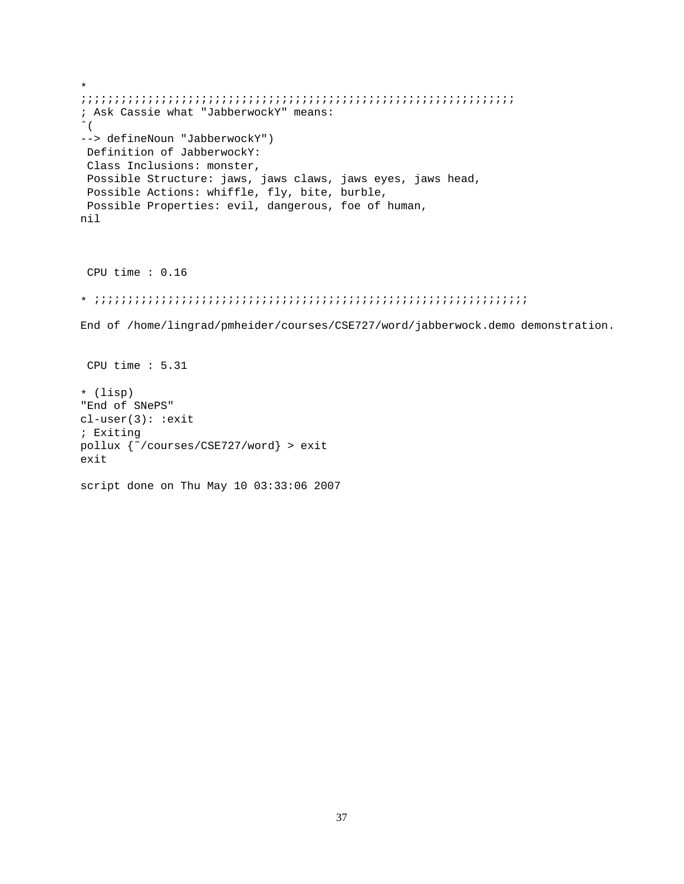```
*
;;;;;;;;;;;;;;;;;;;;;;;;;;;;;;;;;;;;;;;;;;;;;;;;;;;;;;;;;;;;;;;;;
; Ask Cassie what "JabberwockY" means:
\hat{\ } (
--> defineNoun "JabberwockY")
Definition of JabberwockY:
Class Inclusions: monster,
Possible Structure: jaws, jaws claws, jaws eyes, jaws head,
Possible Actions: whiffle, fly, bite, burble,
 Possible Properties: evil, dangerous, foe of human,
nil
CPU time : 0.16
* ;;;;;;;;;;;;;;;;;;;;;;;;;;;;;;;;;;;;;;;;;;;;;;;;;;;;;;;;;;;;;;;;;
End of /home/lingrad/pmheider/courses/CSE727/word/jabberwock.demo demonstration.
CPU time : 5.31
* (lisp)
"End of SNePS"
cl-user(3): :exit
; Exiting
pollux {˜/courses/CSE727/word} > exit
```
script done on Thu May 10 03:33:06 2007

exit